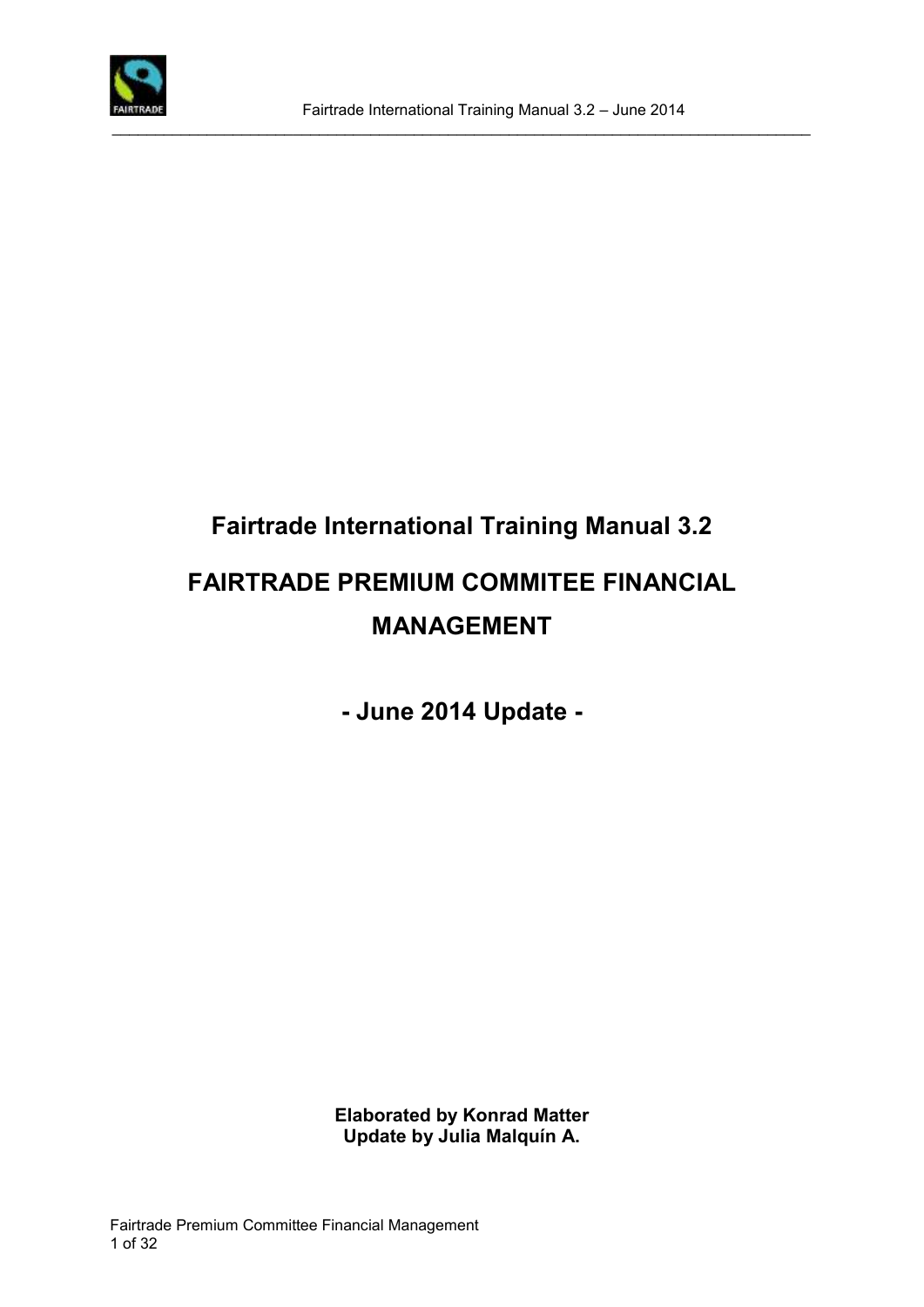

# **Fairtrade International Training Manual 3.2 FAIRTRADE PREMIUM COMMITEE FINANCIAL MANAGEMENT**

**- June 2014 Update -**

**Elaborated by Konrad Matter Update by Julia Malquín A.**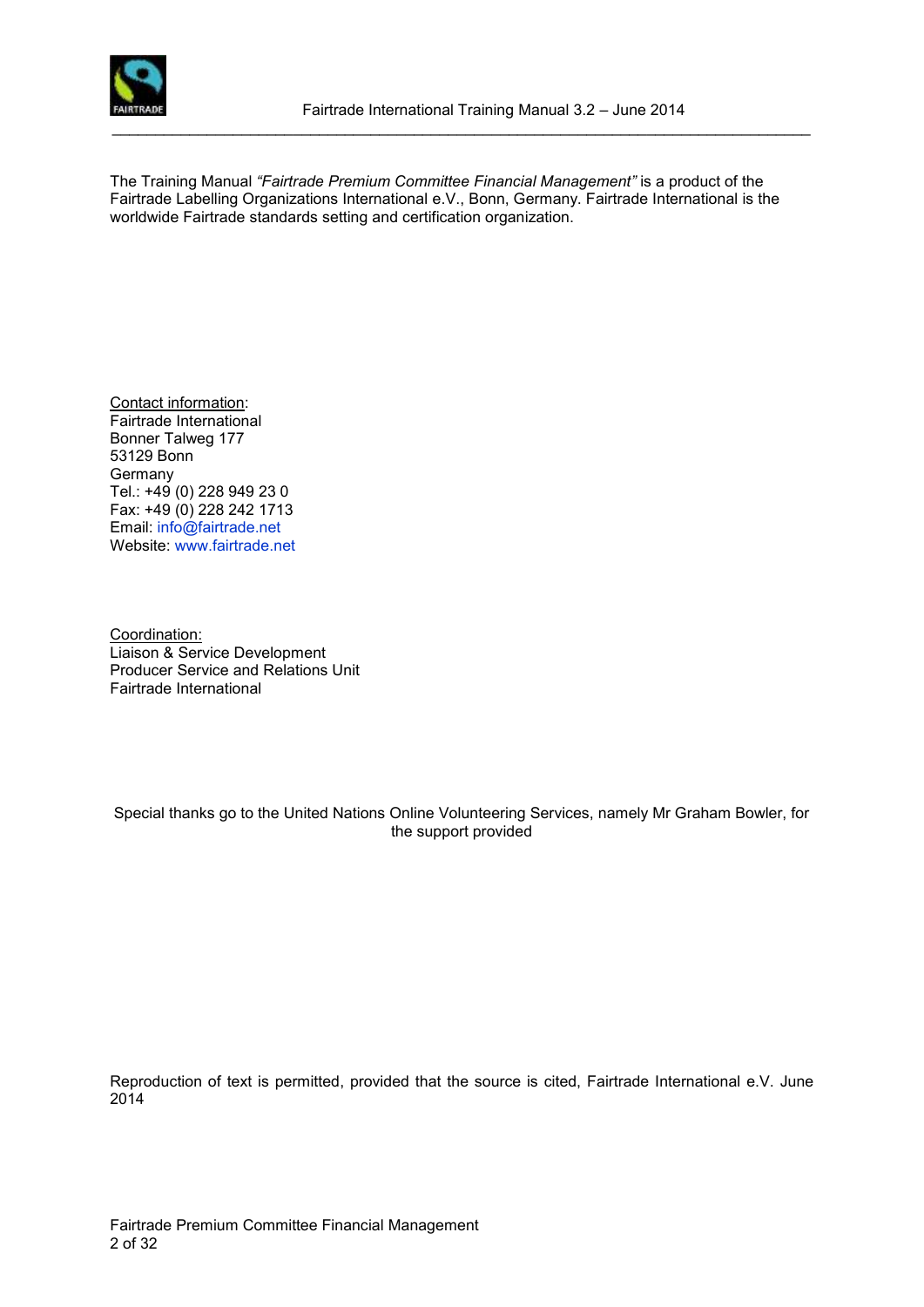

The Training Manual *"Fairtrade Premium Committee Financial Management"* is a product of the Fairtrade Labelling Organizations International e.V., Bonn, Germany. Fairtrade International is the worldwide Fairtrade standards setting and certification organization.

Contact information: Fairtrade International Bonner Talweg 177 53129 Bonn **Germany** Tel.: +49 (0) 228 949 23 0 Fax: +49 (0) 228 242 1713 Email: [info@fairtrade.net](mailto:info@fairtrade.net) Website: [www.fairtrade.net](http://www.fairtrade.net/)

Coordination: Liaison & Service Development Producer Service and Relations Unit Fairtrade International

Special thanks go to the United Nations Online Volunteering Services, namely Mr Graham Bowler, for the support provided

Reproduction of text is permitted, provided that the source is cited, Fairtrade International e.V. June 2014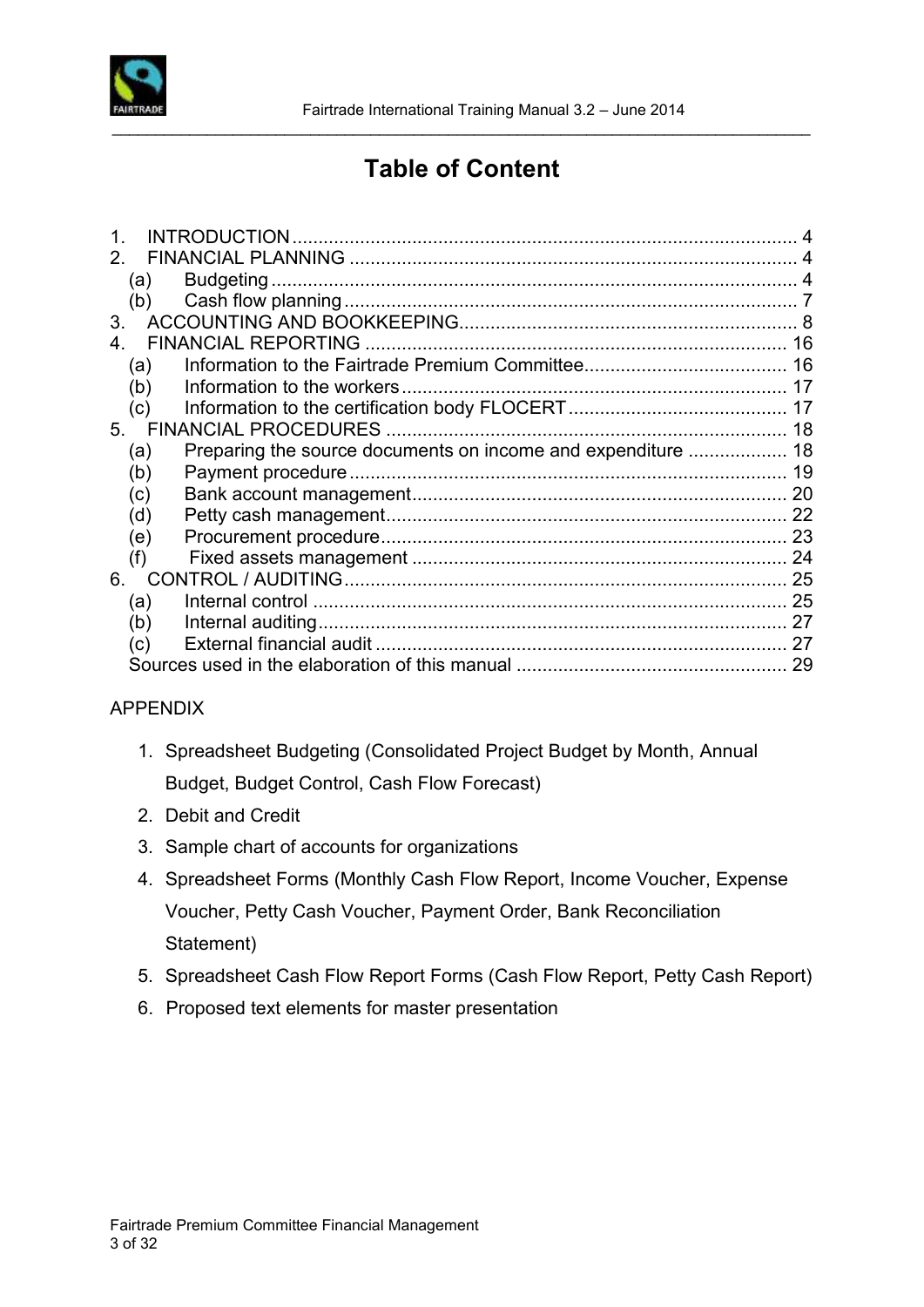

# **Table of Content**

\_\_\_\_\_\_\_\_\_\_\_\_\_\_\_\_\_\_\_\_\_\_\_\_\_\_\_\_\_\_\_\_\_\_\_\_\_\_\_\_\_\_\_\_\_\_\_\_\_\_\_\_\_\_\_\_\_\_\_\_\_\_\_\_\_\_\_\_\_\_\_\_\_\_\_\_\_\_\_\_\_

|                |     | <b>INTRODUCTION</b>          |    |
|----------------|-----|------------------------------|----|
|                |     |                              |    |
|                | (a) |                              |    |
|                | (b) |                              |    |
| 3 <sub>1</sub> |     |                              |    |
|                |     | <b>FINANCIAL REPORTING</b>   | 16 |
|                | (a) |                              |    |
|                | (b) |                              |    |
|                | (c) |                              |    |
|                | 5.  | <b>FINANCIAL PROCEDURES.</b> |    |
|                | (a) |                              |    |
|                | (b) |                              | 19 |
|                | (c) |                              |    |
|                | (d) |                              |    |
|                | (e) |                              |    |
|                | (f) |                              |    |
| 6.             |     |                              | 25 |
|                | (a) |                              |    |
|                | (b) |                              | 27 |
|                | (c) |                              | 27 |
|                |     |                              | 29 |
|                |     |                              |    |

#### APPENDIX

- 1. Spreadsheet Budgeting (Consolidated Project Budget by Month, Annual Budget, Budget Control, Cash Flow Forecast)
- 2. Debit and Credit
- 3. Sample chart of accounts for organizations
- 4. Spreadsheet Forms (Monthly Cash Flow Report, Income Voucher, Expense Voucher, Petty Cash Voucher, Payment Order, Bank Reconciliation Statement)
- 5. Spreadsheet Cash Flow Report Forms (Cash Flow Report, Petty Cash Report)
- 6. Proposed text elements for master presentation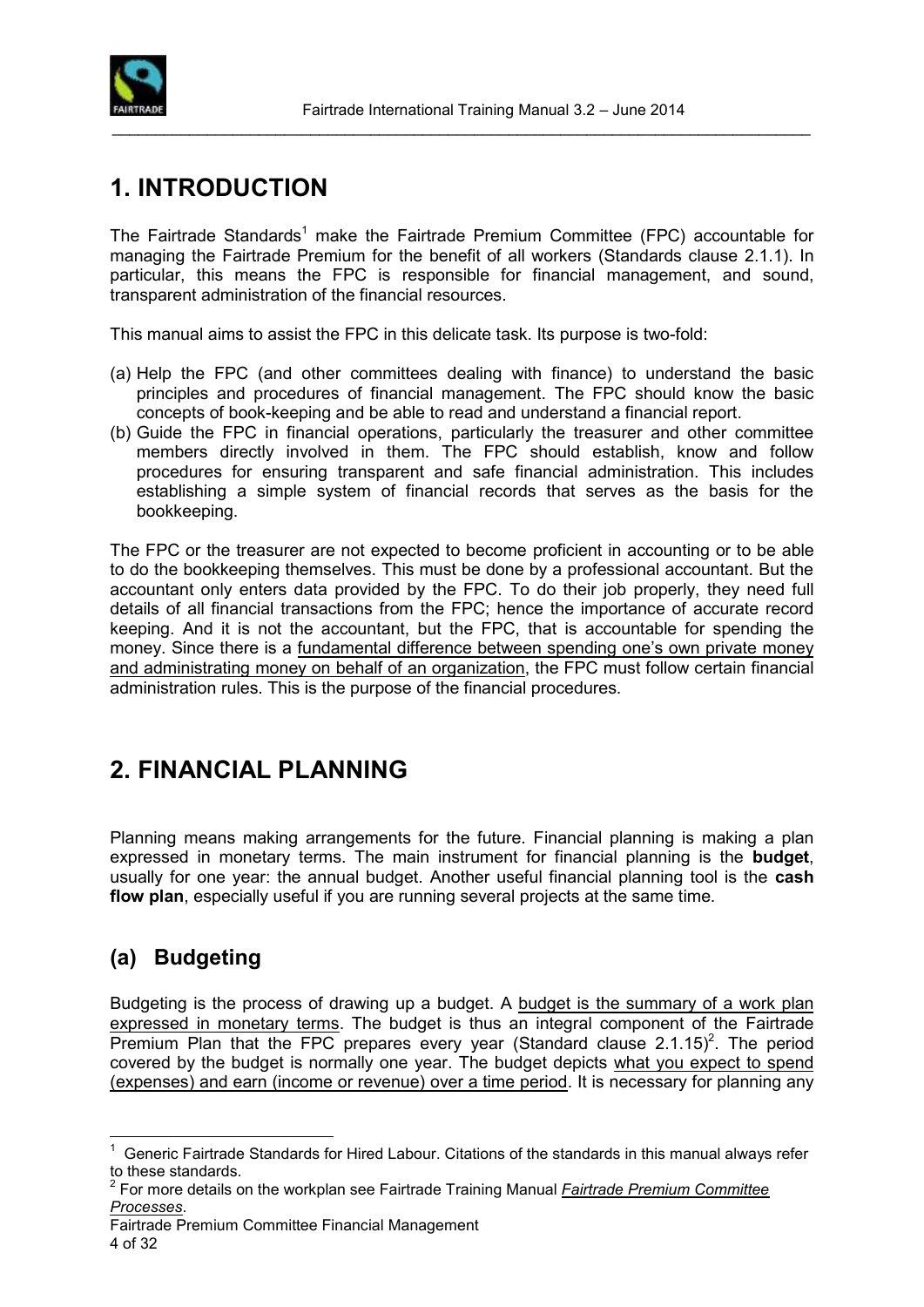

# <span id="page-3-0"></span>**1. INTRODUCTION**

The Fairtrade Standards<sup>1</sup> make the Fairtrade Premium Committee (FPC) accountable for managing the Fairtrade Premium for the benefit of all workers (Standards clause 2.1.1). In particular, this means the FPC is responsible for financial management, and sound, transparent administration of the financial resources.

This manual aims to assist the FPC in this delicate task. Its purpose is two-fold:

- (a) Help the FPC (and other committees dealing with finance) to understand the basic principles and procedures of financial management. The FPC should know the basic concepts of book-keeping and be able to read and understand a financial report.
- (b) Guide the FPC in financial operations, particularly the treasurer and other committee members directly involved in them. The FPC should establish, know and follow procedures for ensuring transparent and safe financial administration. This includes establishing a simple system of financial records that serves as the basis for the bookkeeping.

The FPC or the treasurer are not expected to become proficient in accounting or to be able to do the bookkeeping themselves. This must be done by a professional accountant. But the accountant only enters data provided by the FPC. To do their job properly, they need full details of all financial transactions from the FPC; hence the importance of accurate record keeping. And it is not the accountant, but the FPC, that is accountable for spending the money. Since there is a fundamental difference between spending one's own private money and administrating money on behalf of an organization, the FPC must follow certain financial administration rules. This is the purpose of the financial procedures.

# <span id="page-3-1"></span>**2. FINANCIAL PLANNING**

Planning means making arrangements for the future. Financial planning is making a plan expressed in monetary terms. The main instrument for financial planning is the **budget**, usually for one year: the annual budget. Another useful financial planning tool is the **cash flow plan**, especially useful if you are running several projects at the same time.

### <span id="page-3-2"></span>**(a) Budgeting**

 $\overline{a}$ 

Budgeting is the process of drawing up a budget. A budget is the summary of a work plan expressed in monetary terms. The budget is thus an integral component of the Fairtrade Premium Plan that the FPC prepares every year (Standard clause  $2.1.15$ )<sup>2</sup>. The period covered by the budget is normally one year. The budget depicts what you expect to spend (expenses) and earn (income or revenue) over a time period. It is necessary for planning any

 $1$  Generic Fairtrade Standards for Hired Labour. Citations of the standards in this manual always refer to these standards.

<sup>2</sup> For more details on the workplan see Fairtrade Training Manual *Fairtrade Premium Committee Processes*.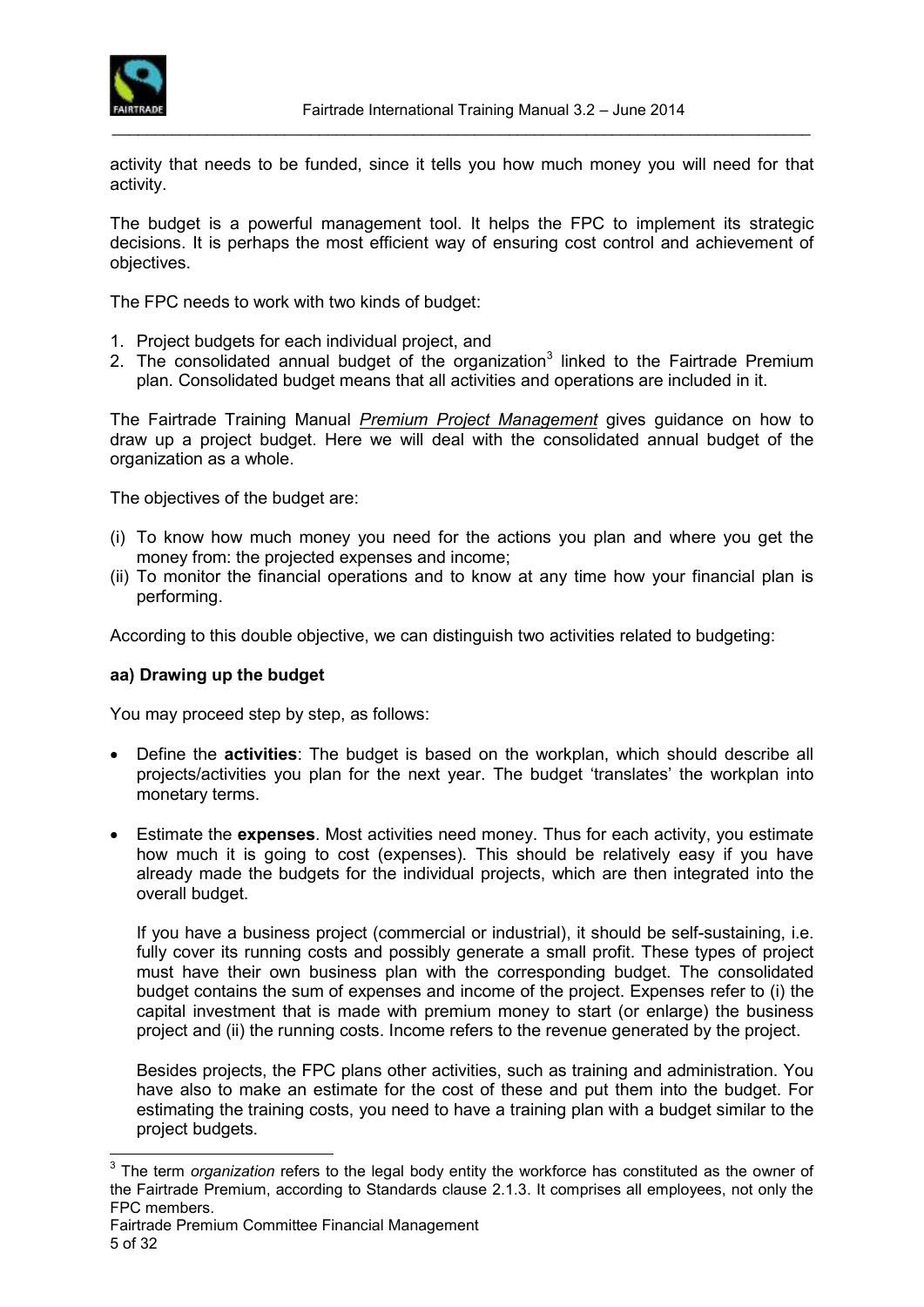

activity that needs to be funded, since it tells you how much money you will need for that activity.

The budget is a powerful management tool. It helps the FPC to implement its strategic decisions. It is perhaps the most efficient way of ensuring cost control and achievement of objectives.

The FPC needs to work with two kinds of budget:

- 1. Project budgets for each individual project, and
- 2. The consolidated annual budget of the organization<sup>3</sup> linked to the Fairtrade Premium plan. Consolidated budget means that all activities and operations are included in it.

The Fairtrade Training Manual *Premium Project Management* gives guidance on how to draw up a project budget. Here we will deal with the consolidated annual budget of the organization as a whole.

The objectives of the budget are:

- (i) To know how much money you need for the actions you plan and where you get the money from: the projected expenses and income;
- (ii) To monitor the financial operations and to know at any time how your financial plan is performing.

According to this double objective, we can distinguish two activities related to budgeting:

#### **aa) Drawing up the budget**

You may proceed step by step, as follows:

- Define the **activities**: The budget is based on the workplan, which should describe all projects/activities you plan for the next year. The budget 'translates' the workplan into monetary terms.
- Estimate the **expenses**. Most activities need money. Thus for each activity, you estimate how much it is going to cost (expenses). This should be relatively easy if you have already made the budgets for the individual projects, which are then integrated into the overall budget.

If you have a business project (commercial or industrial), it should be self-sustaining, i.e. fully cover its running costs and possibly generate a small profit. These types of project must have their own business plan with the corresponding budget. The consolidated budget contains the sum of expenses and income of the project. Expenses refer to (i) the capital investment that is made with premium money to start (or enlarge) the business project and (ii) the running costs. Income refers to the revenue generated by the project.

Besides projects, the FPC plans other activities, such as training and administration. You have also to make an estimate for the cost of these and put them into the budget. For estimating the training costs, you need to have a training plan with a budget similar to the project budgets.

 $\overline{a}$ 3 The term *organization* refers to the legal body entity the workforce has constituted as the owner of the Fairtrade Premium, according to Standards clause 2.1.3. It comprises all employees, not only the FPC members.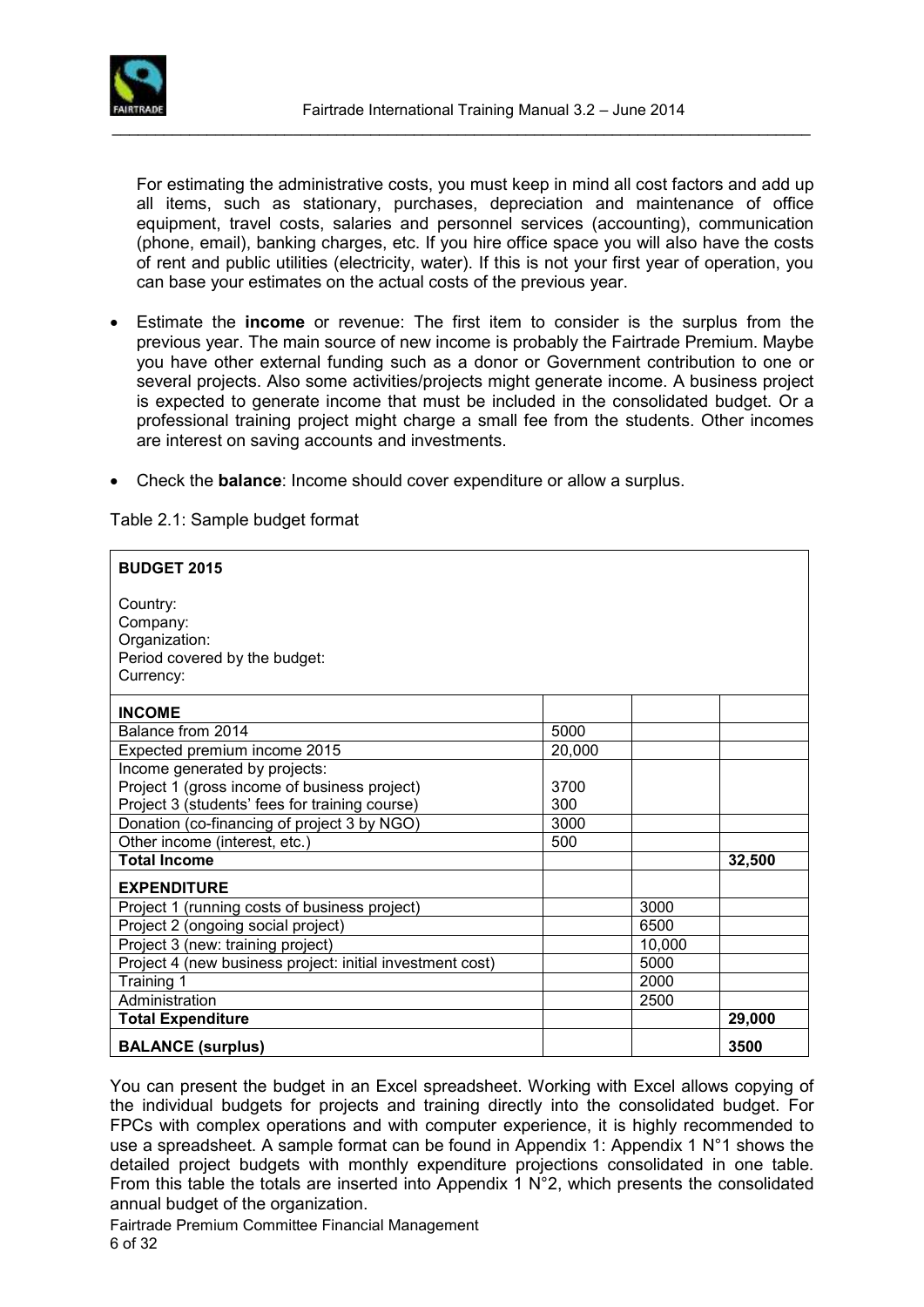

For estimating the administrative costs, you must keep in mind all cost factors and add up all items, such as stationary, purchases, depreciation and maintenance of office equipment, travel costs, salaries and personnel services (accounting), communication (phone, email), banking charges, etc. If you hire office space you will also have the costs of rent and public utilities (electricity, water). If this is not your first year of operation, you can base your estimates on the actual costs of the previous year.

- Estimate the **income** or revenue: The first item to consider is the surplus from the previous year. The main source of new income is probably the Fairtrade Premium. Maybe you have other external funding such as a donor or Government contribution to one or several projects. Also some activities/projects might generate income. A business project is expected to generate income that must be included in the consolidated budget. Or a professional training project might charge a small fee from the students. Other incomes are interest on saving accounts and investments.
- Check the **balance**: Income should cover expenditure or allow a surplus.

Table 2.1: Sample budget format

| <b>BUDGET 2015</b>                                                                  |        |        |        |
|-------------------------------------------------------------------------------------|--------|--------|--------|
| Country:<br>Company:<br>Organization:<br>Period covered by the budget:<br>Currency: |        |        |        |
| <b>INCOME</b>                                                                       |        |        |        |
| Balance from 2014                                                                   | 5000   |        |        |
| Expected premium income 2015                                                        | 20,000 |        |        |
| Income generated by projects:                                                       |        |        |        |
| Project 1 (gross income of business project)                                        | 3700   |        |        |
| Project 3 (students' fees for training course)                                      | 300    |        |        |
| Donation (co-financing of project 3 by NGO)                                         | 3000   |        |        |
| Other income (interest, etc.)                                                       | 500    |        |        |
| <b>Total Income</b>                                                                 |        |        | 32,500 |
| <b>EXPENDITURE</b>                                                                  |        |        |        |
| Project 1 (running costs of business project)                                       |        | 3000   |        |
| Project 2 (ongoing social project)                                                  |        | 6500   |        |
| Project 3 (new: training project)                                                   |        | 10,000 |        |
| Project 4 (new business project: initial investment cost)                           |        | 5000   |        |
| Training 1                                                                          |        | 2000   |        |
| Administration                                                                      |        | 2500   |        |
| <b>Total Expenditure</b>                                                            |        |        | 29,000 |
| <b>BALANCE (surplus)</b>                                                            |        |        | 3500   |

You can present the budget in an Excel spreadsheet. Working with Excel allows copying of the individual budgets for projects and training directly into the consolidated budget. For FPCs with complex operations and with computer experience, it is highly recommended to use a spreadsheet. A sample format can be found in Appendix 1: Appendix 1  $\mathbb{N}^{\circ}$ 1 shows the detailed project budgets with monthly expenditure projections consolidated in one table. From this table the totals are inserted into Appendix 1 N°2, which presents the consolidated annual budget of the organization.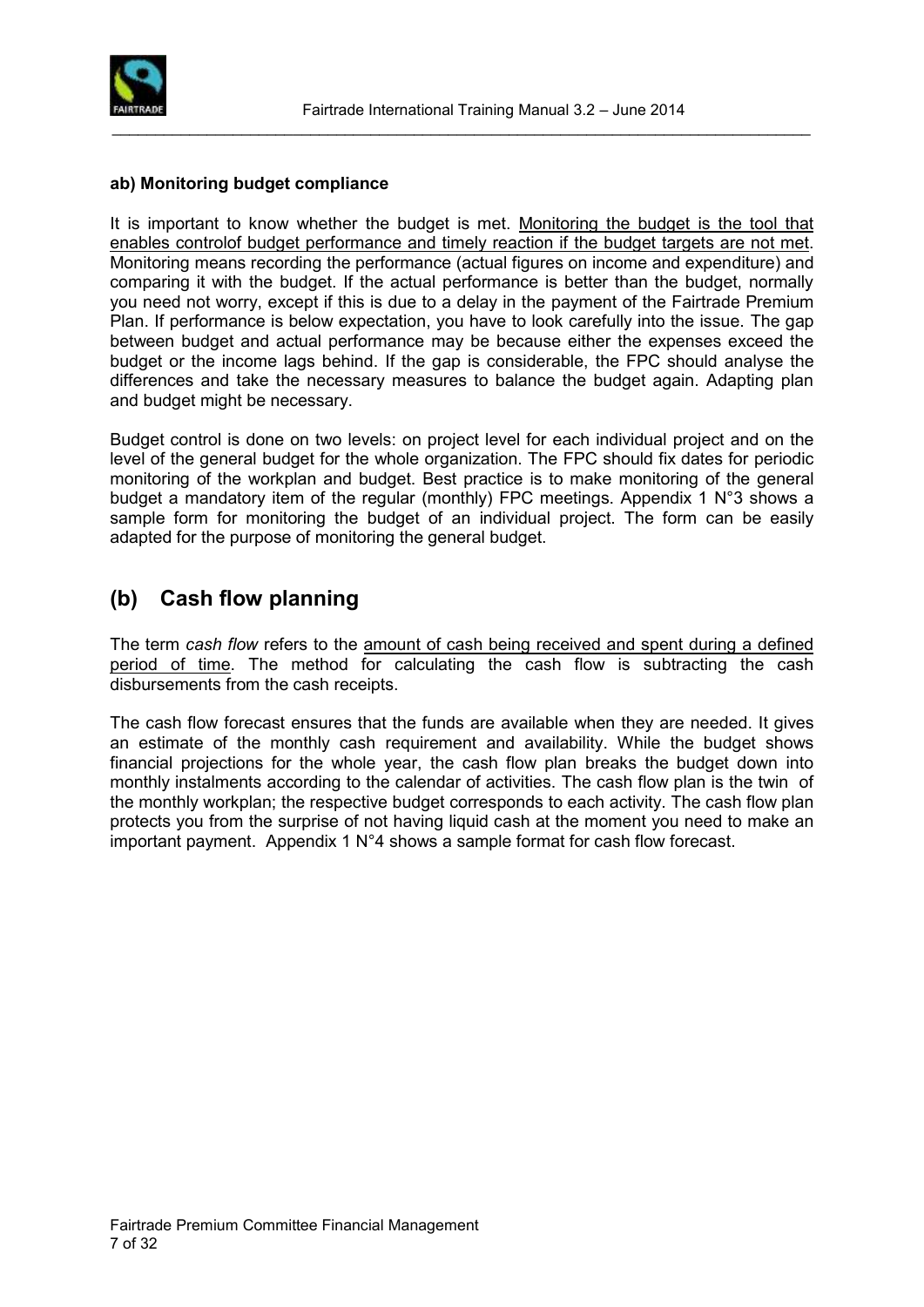

#### **ab) Monitoring budget compliance**

It is important to know whether the budget is met. Monitoring the budget is the tool that enables controlof budget performance and timely reaction if the budget targets are not met. Monitoring means recording the performance (actual figures on income and expenditure) and comparing it with the budget. If the actual performance is better than the budget, normally you need not worry, except if this is due to a delay in the payment of the Fairtrade Premium Plan. If performance is below expectation, you have to look carefully into the issue. The gap between budget and actual performance may be because either the expenses exceed the budget or the income lags behind. If the gap is considerable, the FPC should analyse the differences and take the necessary measures to balance the budget again. Adapting plan and budget might be necessary.

Budget control is done on two levels: on project level for each individual project and on the level of the general budget for the whole organization. The FPC should fix dates for periodic monitoring of the workplan and budget. Best practice is to make monitoring of the general budget a mandatory item of the regular (monthly) FPC meetings. Appendix 1 N°3 shows a sample form for monitoring the budget of an individual project. The form can be easily adapted for the purpose of monitoring the general budget.

### <span id="page-6-0"></span>**(b) Cash flow planning**

The term *cash flow* refers to the amount of cash being received and spent during a defined period of time. The method for calculating the cash flow is subtracting the cash disbursements from the cash receipts.

The cash flow forecast ensures that the funds are available when they are needed. It gives an estimate of the monthly cash requirement and availability. While the budget shows financial projections for the whole year, the cash flow plan breaks the budget down into monthly instalments according to the calendar of activities. The cash flow plan is the twin of the monthly workplan; the respective budget corresponds to each activity. The cash flow plan protects you from the surprise of not having liquid cash at the moment you need to make an important payment. Appendix 1 N°4 shows a sample format for cash flow forecast.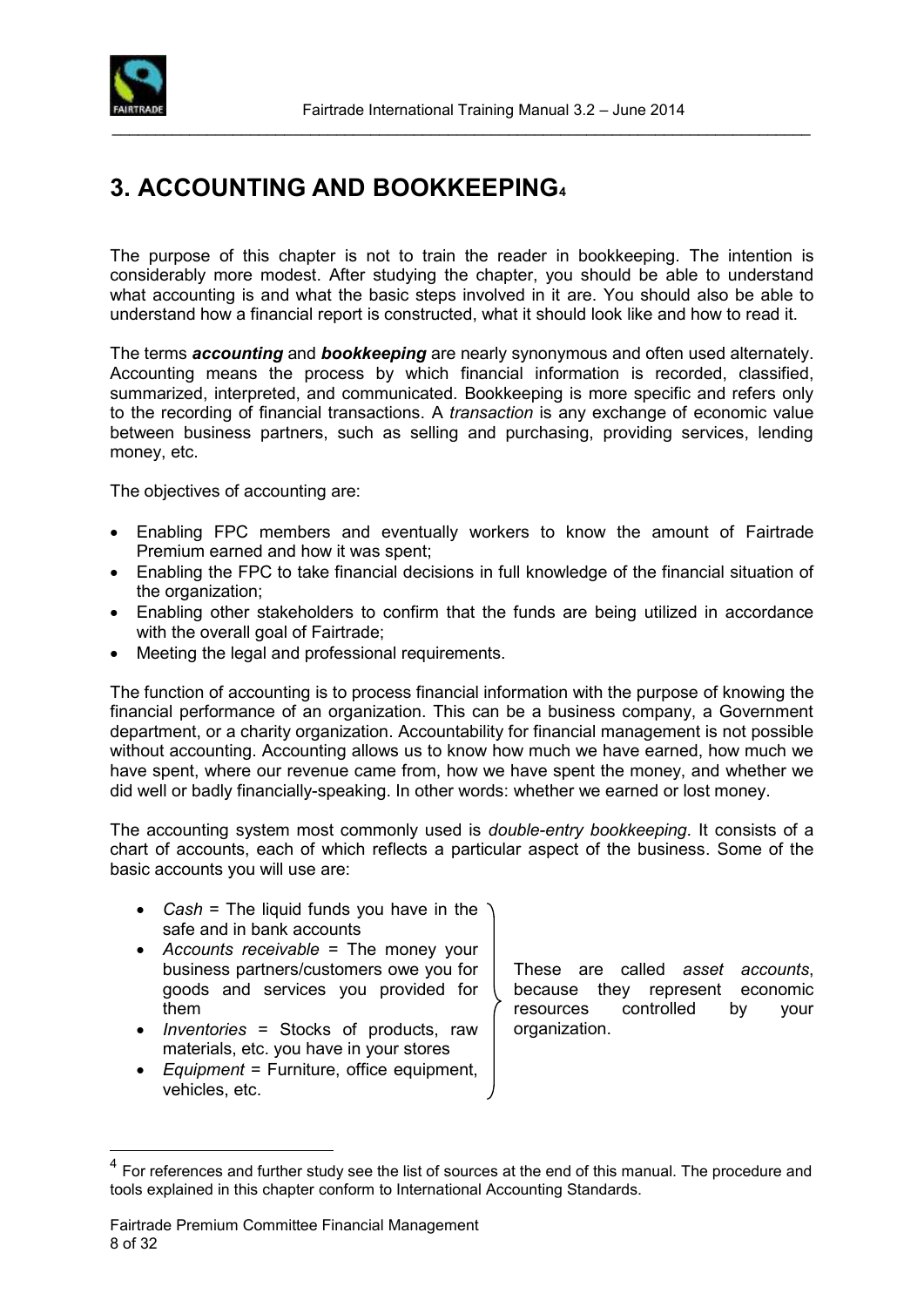

# <span id="page-7-0"></span>**3. ACCOUNTING AND BOOKKEEPING<sup>4</sup>**

The purpose of this chapter is not to train the reader in bookkeeping. The intention is considerably more modest. After studying the chapter, you should be able to understand what accounting is and what the basic steps involved in it are. You should also be able to understand how a financial report is constructed, what it should look like and how to read it.

The terms *accounting* and *bookkeeping* are nearly synonymous and often used alternately. Accounting means the process by which financial information is recorded, classified, summarized, interpreted, and communicated. Bookkeeping is more specific and refers only to the recording of financial transactions. A *transaction* is any exchange of economic value between business partners, such as selling and purchasing, providing services, lending money, etc.

The objectives of accounting are:

- Enabling FPC members and eventually workers to know the amount of Fairtrade Premium earned and how it was spent;
- Enabling the FPC to take financial decisions in full knowledge of the financial situation of the organization;
- Enabling other stakeholders to confirm that the funds are being utilized in accordance with the overall goal of Fairtrade;
- Meeting the legal and professional requirements.

The function of accounting is to process financial information with the purpose of knowing the financial performance of an organization. This can be a business company, a Government department, or a charity organization. Accountability for financial management is not possible without accounting. Accounting allows us to know how much we have earned, how much we have spent, where our revenue came from, how we have spent the money, and whether we did well or badly financially-speaking. In other words: whether we earned or lost money.

The accounting system most commonly used is *double-entry bookkeeping*. It consists of a chart of accounts, each of which reflects a particular aspect of the business. Some of the basic accounts you will use are:

- *Cash* = The liquid funds you have in the safe and in bank accounts
- *Accounts receivable* = The money your business partners/customers owe you for goods and services you provided for them
- *Inventories* = Stocks of products, raw materials, etc. you have in your stores
- *Equipment* = Furniture, office equipment, vehicles, etc.

These are called *asset accounts*, because they represent economic resources controlled by your organization.

 $\overline{a}$ 

<sup>4</sup> For references and further study see the list of sources at the end of this manual. The procedure and tools explained in this chapter conform to International Accounting Standards.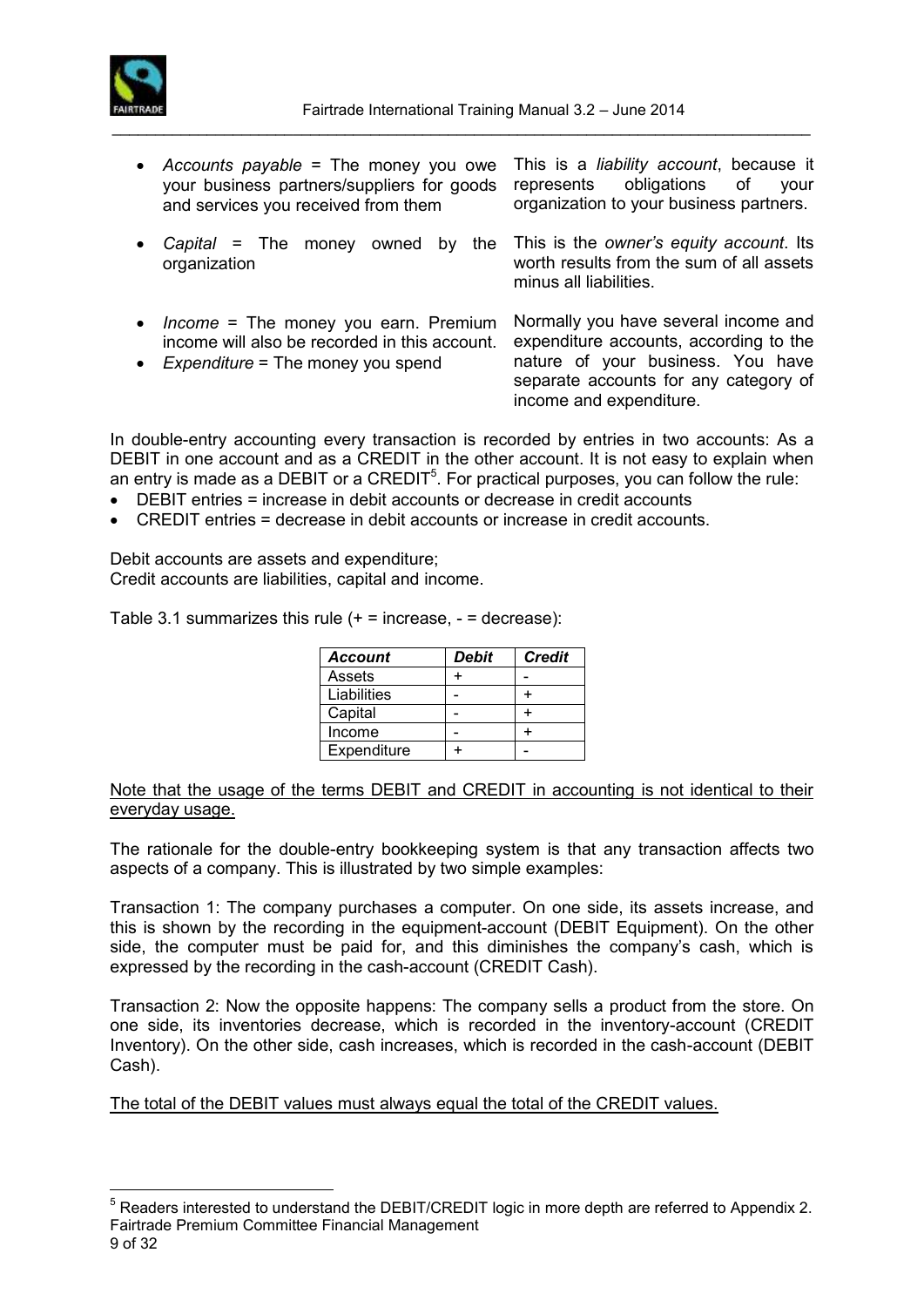

 *Accounts payable* = The money you owe your business partners/suppliers for goods and services you received from them

This is a *liability account*, because it represents obligations of your organization to your business partners.

 *Capital* = The money owned by the organization

This is the *owner's equity account*. Its worth results from the sum of all assets minus all liabilities.

- *Income* = The money you earn. Premium income will also be recorded in this account.
- *Expenditure* = The money you spend

Normally you have several income and expenditure accounts, according to the nature of your business. You have separate accounts for any category of income and expenditure.

In double-entry accounting every transaction is recorded by entries in two accounts: As a DEBIT in one account and as a CREDIT in the other account. It is not easy to explain when an entry is made as a DEBIT or a CREDIT<sup>5</sup>. For practical purposes, you can follow the rule:

- DEBIT entries = increase in debit accounts or decrease in credit accounts
- CREDIT entries = decrease in debit accounts or increase in credit accounts.

Debit accounts are assets and expenditure; Credit accounts are liabilities, capital and income.

Table 3.1 summarizes this rule  $(+ =$  increase,  $=$  decrease):

| <b>Account</b> | Debit | <b>Credit</b> |
|----------------|-------|---------------|
| Assets         |       |               |
| Liabilities    |       |               |
| Capital        |       |               |
| Income         |       |               |
| Expenditure    |       |               |

Note that the usage of the terms DEBIT and CREDIT in accounting is not identical to their everyday usage.

The rationale for the double-entry bookkeeping system is that any transaction affects two aspects of a company. This is illustrated by two simple examples:

Transaction 1: The company purchases a computer. On one side, its assets increase, and this is shown by the recording in the equipment-account (DEBIT Equipment). On the other side, the computer must be paid for, and this diminishes the company's cash, which is expressed by the recording in the cash-account (CREDIT Cash).

Transaction 2: Now the opposite happens: The company sells a product from the store. On one side, its inventories decrease, which is recorded in the inventory-account (CREDIT Inventory). On the other side, cash increases, which is recorded in the cash-account (DEBIT Cash).

The total of the DEBIT values must always equal the total of the CREDIT values.

Fairtrade Premium Committee Financial Management 9 of 32  $\overline{a}$  $5$  Readers interested to understand the DEBIT/CREDIT logic in more depth are referred to Appendix 2.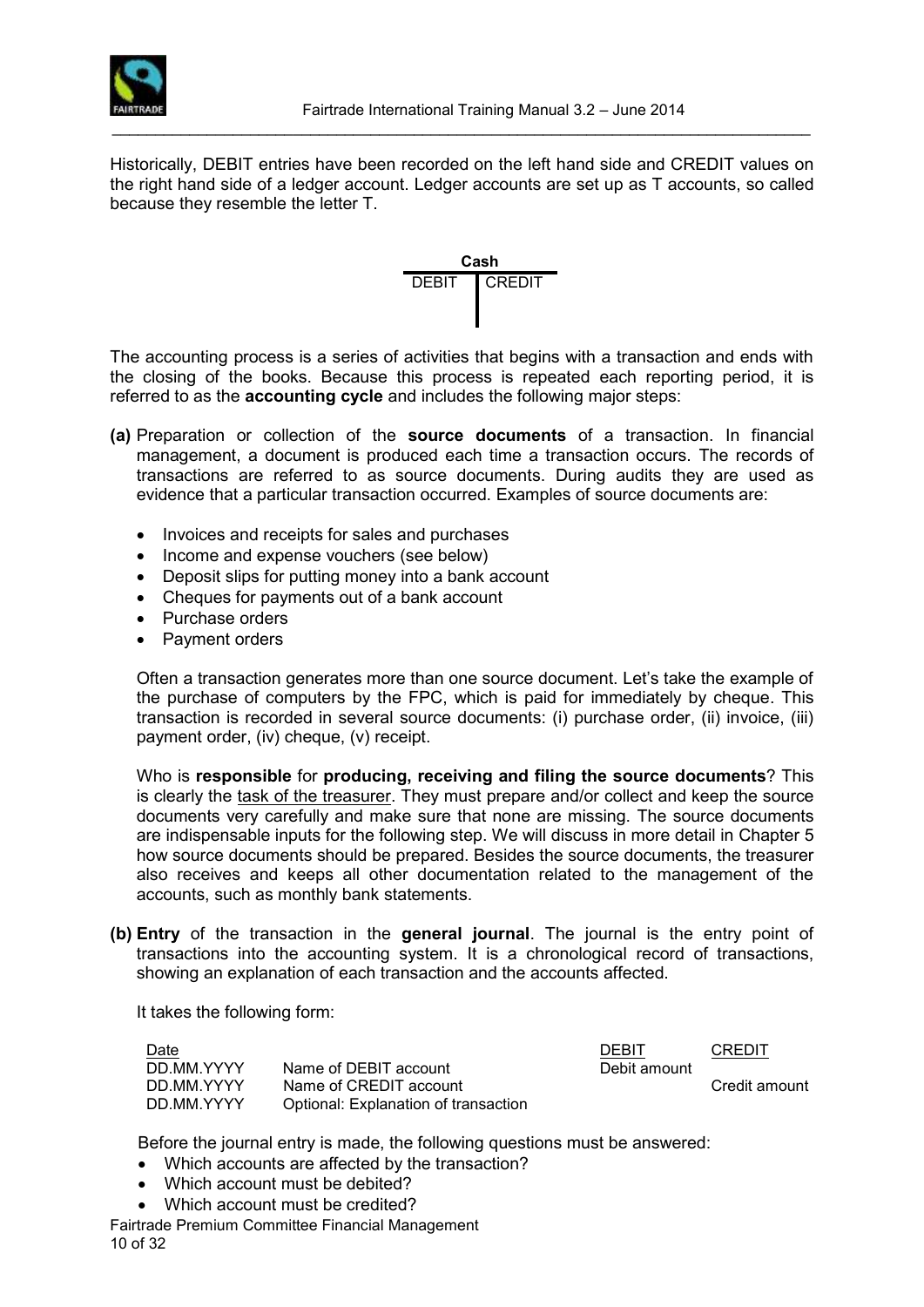

Historically, DEBIT entries have been recorded on the left hand side and CREDIT values on the right hand side of a [ledger](http://en.wikipedia.org/wiki/General_ledger) account. Ledger accounts are set up as [T accounts,](http://en.wikipedia.org/w/index.php?title=T_account&action=edit) so called because they resemble the letter T.



The accounting process is a series of activities that begins with a transaction and ends with the closing of the books. Because this process is repeated each reporting period, it is referred to as the **accounting cycle** and includes the following major steps:

- **(a)** Preparation or collection of the **source documents** of a transaction. In financial management, a document is produced each time a transaction occurs. The records of transactions are referred to as source documents. During audits they are used as evidence that a particular transaction occurred. Examples of source documents are:
	- Invoices and receipts for sales and purchases
	- Income and expense vouchers (see below)
	- Deposit slips for putting money into a bank account
	- Cheques for payments out of a bank account
	- Purchase orders
	- Payment orders

Often a transaction generates more than one source document. Let's take the example of the purchase of computers by the FPC, which is paid for immediately by cheque. This transaction is recorded in several source documents: (i) purchase order, (ii) invoice, (iii) payment order, (iv) cheque, (v) receipt.

Who is **responsible** for **producing, receiving and filing the source documents**? This is clearly the task of the treasurer. They must prepare and/or collect and keep the source documents very carefully and make sure that none are missing. The source documents are indispensable inputs for the following step. We will discuss in more detail in Chapter 5 how source documents should be prepared. Besides the source documents, the treasurer also receives and keeps all other documentation related to the management of the accounts, such as monthly bank statements.

**(b) Entry** of the transaction in the **general journal**. The journal is the entry point of transactions into the accounting system. It is a chronological record of transactions, showing an explanation of each transaction and the accounts affected.

It takes the following form:

| Date       |                                      | DEBIT        | CREDIT        |
|------------|--------------------------------------|--------------|---------------|
| DD MM YYYY | Name of DEBIT account                | Debit amount |               |
| DD MM YYYY | Name of CREDIT account               |              | Credit amount |
| DD.MM.YYYY | Optional: Explanation of transaction |              |               |

Before the journal entry is made, the following questions must be answered:

- Which accounts are affected by the transaction?
- . Which account must be debited?
- Which account must be credited?

Fairtrade Premium Committee Financial Management 10 of 32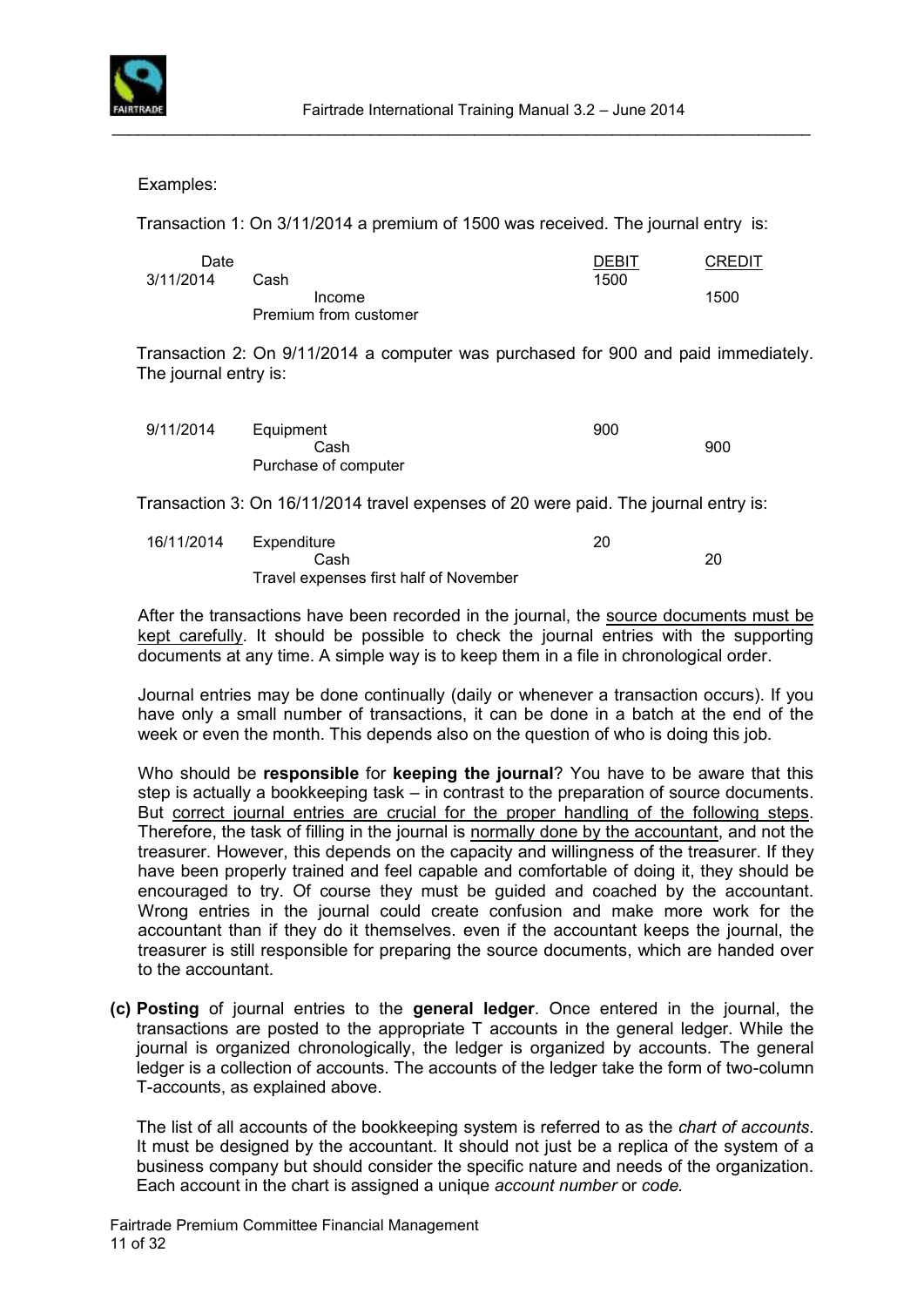

Examples:

Transaction 1: On 3/11/2014 a premium of 1500 was received. The journal entry is:

| Date      |                       | <b>DEBIT</b> | <b>CREDIT</b> |
|-----------|-----------------------|--------------|---------------|
| 3/11/2014 | Cash                  | 1500         |               |
|           | Income                |              | 1500          |
|           | Premium from customer |              |               |

Transaction 2: On 9/11/2014 a computer was purchased for 900 and paid immediately. The journal entry is:

| 9/11/2014 | Equipment            | 900 |     |
|-----------|----------------------|-----|-----|
|           | Cash                 |     | 900 |
|           | Purchase of computer |     |     |
|           |                      |     |     |

Transaction 3: On 16/11/2014 travel expenses of 20 were paid. The journal entry is:

| 16/11/2014 | Expenditure                            | 20 |    |
|------------|----------------------------------------|----|----|
|            | Cash                                   |    | 20 |
|            | Travel expenses first half of November |    |    |

After the transactions have been recorded in the journal, the source documents must be kept carefully. It should be possible to check the journal entries with the supporting documents at any time. A simple way is to keep them in a file in chronological order.

Journal entries may be done continually (daily or whenever a transaction occurs). If you have only a small number of transactions, it can be done in a batch at the end of the week or even the month. This depends also on the question of who is doing this job.

Who should be **responsible** for **keeping the journal**? You have to be aware that this step is actually a bookkeeping task – in contrast to the preparation of source documents. But correct journal entries are crucial for the proper handling of the following steps. Therefore, the task of filling in the journal is normally done by the accountant, and not the treasurer. However, this depends on the capacity and willingness of the treasurer. If they have been properly trained and feel capable and comfortable of doing it, they should be encouraged to try. Of course they must be guided and coached by the accountant. Wrong entries in the journal could create confusion and make more work for the accountant than if they do it themselves. even if the accountant keeps the journal, the treasurer is still responsible for preparing the source documents, which are handed over to the accountant.

**(c) Posting** of journal entries to the **general ledger**. Once entered in the journal, the transactions are posted to the appropriate T accounts in the general ledger. While the journal is organized chronologically, the ledger is organized by accounts. The general ledger is a collection of accounts. The accounts of the ledger take the form of two-column T-accounts, as explained above.

The list of all accounts of the bookkeeping system is referred to as the *chart of accounts*. It must be designed by the accountant. It should not just be a replica of the system of a business company but should consider the specific nature and needs of the organization. Each account in the chart is assigned a unique *account number* or *code.*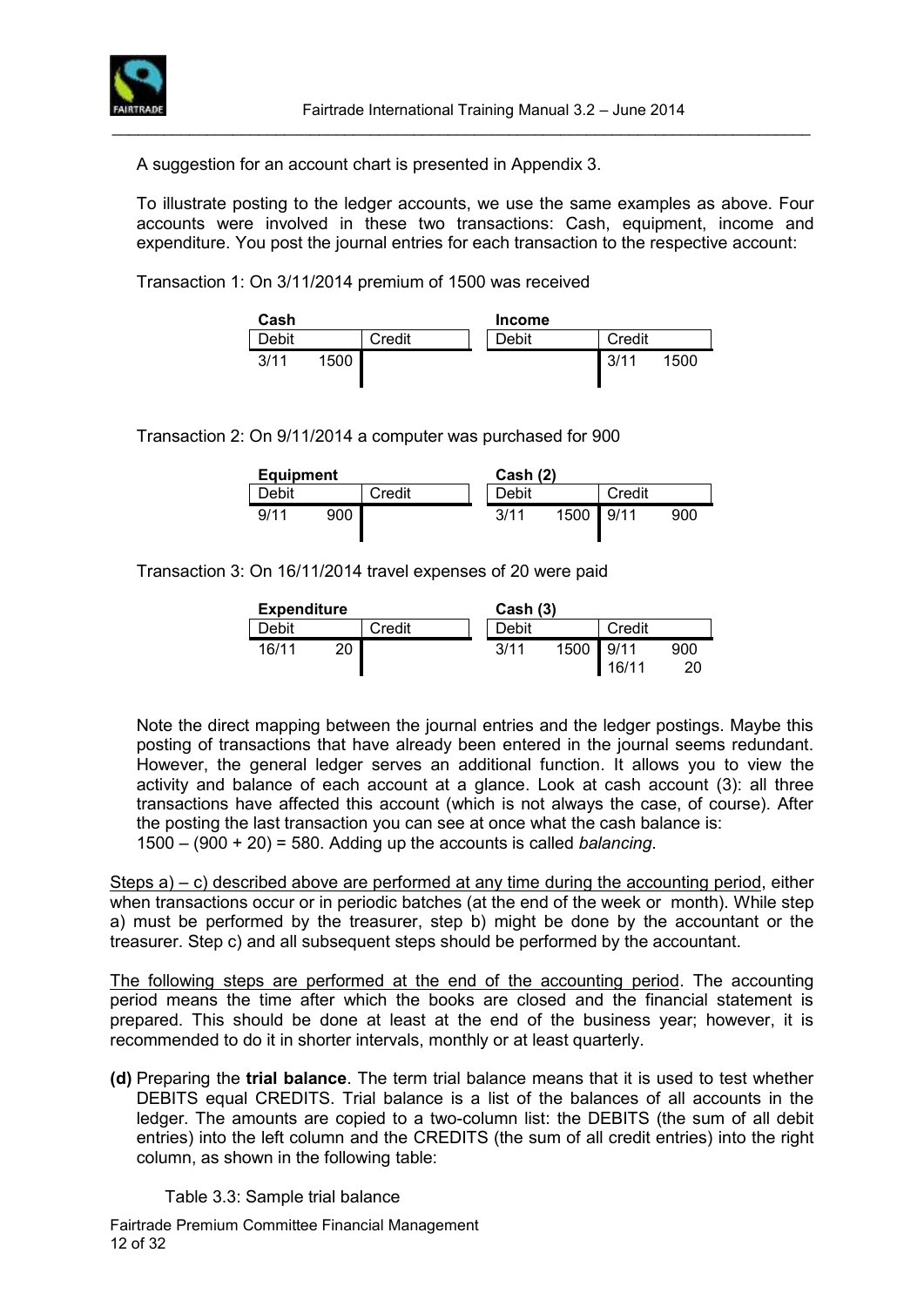

A suggestion for an account chart is presented in Appendix 3.

To illustrate posting to the ledger accounts, we use the same examples as above. Four accounts were involved in these two transactions: Cash, equipment, income and expenditure. You post the journal entries for each transaction to the respective account:

\_\_\_\_\_\_\_\_\_\_\_\_\_\_\_\_\_\_\_\_\_\_\_\_\_\_\_\_\_\_\_\_\_\_\_\_\_\_\_\_\_\_\_\_\_\_\_\_\_\_\_\_\_\_\_\_\_\_\_\_\_\_\_\_\_\_\_\_\_\_\_\_\_\_\_\_\_\_\_\_\_

Transaction 1: On 3/11/2014 premium of 1500 was received

| Cash  |      |        | <b>Income</b> |        |      |
|-------|------|--------|---------------|--------|------|
| Debit |      | Credit | Debit         | Credit |      |
| 3/11  | 1500 |        |               | 3/11   | 1500 |

Transaction 2: On 9/11/2014 a computer was purchased for 900

| <b>Equipment</b> |     |        | Cash (2) |       |           |        |     |
|------------------|-----|--------|----------|-------|-----------|--------|-----|
| Debit            |     | Credit |          | Debit |           | Credit |     |
| 9/11             | 900 |        |          | 3/11  | 1500 9/11 |        | 900 |

Transaction 3: On 16/11/2014 travel expenses of 20 were paid

| <b>Expenditure</b> |    |        | Cash (3) |       |      |                |           |
|--------------------|----|--------|----------|-------|------|----------------|-----------|
| Debit              |    | Credit |          | Debit |      | Credit         |           |
| 16/11              | 20 |        |          | 3/11  | 1500 | 19/11<br>16/11 | 900<br>20 |

Note the direct mapping between the journal entries and the ledger postings. Maybe this posting of transactions that have already been entered in the journal seems redundant. However, the general ledger serves an additional function. It allows you to view the activity and balance of each account at a glance. Look at cash account (3): all three transactions have affected this account (which is not always the case, of course). After the posting the last transaction you can see at once what the cash balance is: 1500 – (900 + 20) = 580. Adding up the accounts is called *balancing*.

Steps  $a$ ) – c) described above are performed at any time during the accounting period, either when transactions occur or in periodic batches (at the end of the week or month). While step a) must be performed by the treasurer, step b) might be done by the accountant or the treasurer. Step c) and all subsequent steps should be performed by the accountant.

The following steps are performed at the end of the accounting period. The accounting period means the time after which the books are closed and the financial statement is prepared. This should be done at least at the end of the business year; however, it is recommended to do it in shorter intervals, monthly or at least quarterly.

**(d)** Preparing the **trial balance**. The term trial balance means that it is used to test whether DEBITS equal CREDITS. Trial balance is a list of the balances of all accounts in the ledger. The amounts are copied to a two-column list: the DEBITS (the sum of all debit entries) into the left column and the CREDITS (the sum of all credit entries) into the right column, as shown in the following table:

#### Table 3.3: Sample trial balance

Fairtrade Premium Committee Financial Management 12 of 32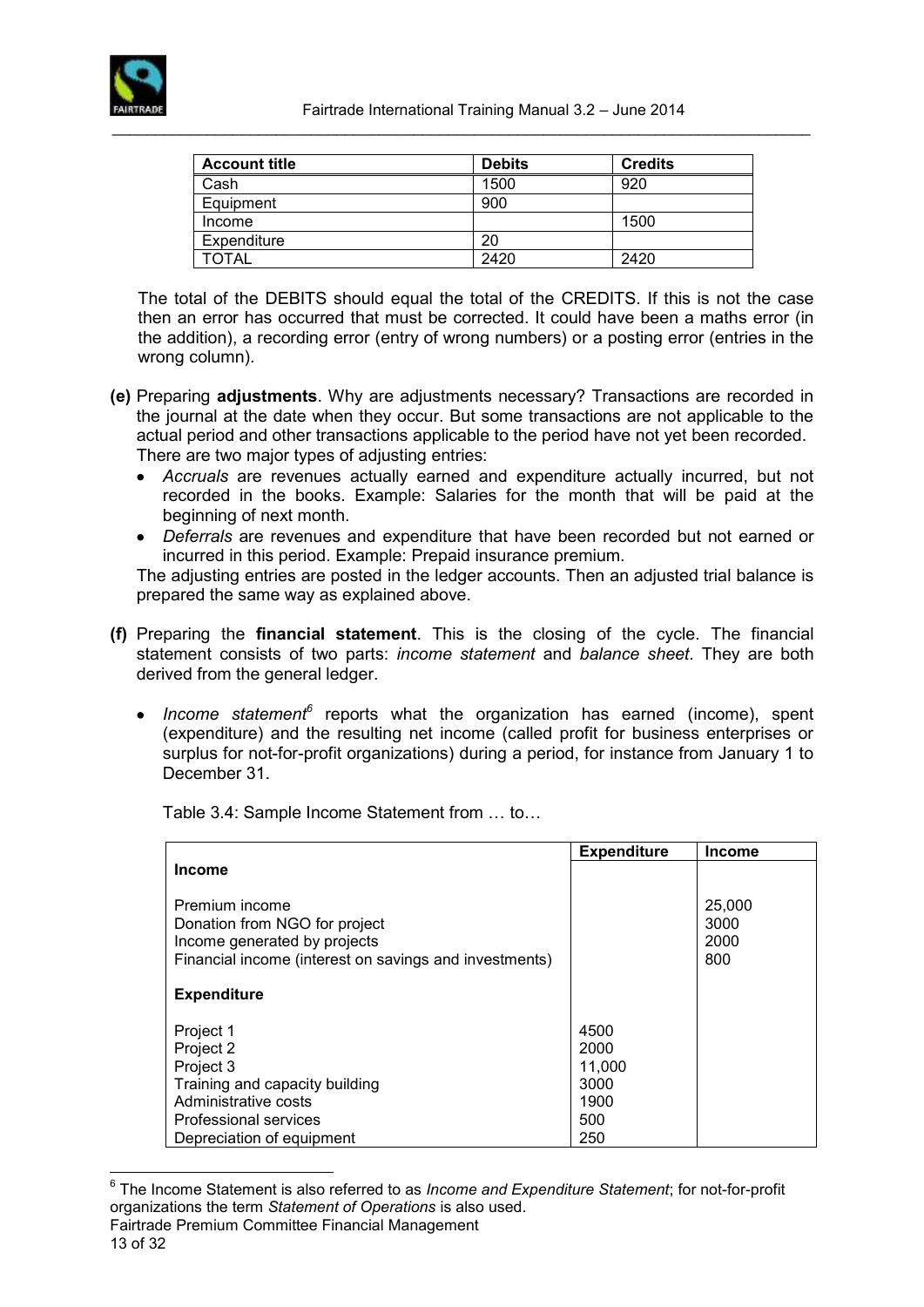

| <b>Account title</b> | <b>Debits</b> | <b>Credits</b> |
|----------------------|---------------|----------------|
| Cash                 | 1500          | 920            |
| Equipment            | 900           |                |
| Income               |               | 1500           |
| Expenditure          | 20            |                |
| TOTAL                | 2420          | 2420           |

The total of the DEBITS should equal the total of the CREDITS. If this is not the case then an error has occurred that must be corrected. It could have been a maths error (in the addition), a recording error (entry of wrong numbers) or a posting error (entries in the wrong column).

- **(e)** Preparing **adjustments**. Why are adjustments necessary? Transactions are recorded in the journal at the date when they occur. But some transactions are not applicable to the actual period and other transactions applicable to the period have not yet been recorded. There are two major types of adjusting entries:
	- *Accruals* are revenues actually earned and expenditure actually incurred, but not recorded in the books. Example: Salaries for the month that will be paid at the beginning of next month.
	- *Deferrals* are revenues and expenditure that have been recorded but not earned or incurred in this period. Example: Prepaid insurance premium.

The adjusting entries are posted in the ledger accounts. Then an adjusted trial balance is prepared the same way as explained above.

- **(f)** Preparing the **financial statement**. This is the closing of the cycle. The financial statement consists of two parts: *income statement* and *balance sheet*. They are both derived from the general ledger.
	- Income statement<sup>6</sup> reports what the organization has earned (income), spent (expenditure) and the resulting net income (called profit for business enterprises or surplus for not-for-profit organizations) during a period, for instance from January 1 to December 31.

Table 3.4: Sample Income Statement from … to…

|                                                               | <b>Expenditure</b> | <b>Income</b> |
|---------------------------------------------------------------|--------------------|---------------|
| <b>Income</b>                                                 |                    |               |
| Premium income                                                |                    | 25,000        |
| Donation from NGO for project<br>Income generated by projects |                    | 3000<br>2000  |
| Financial income (interest on savings and investments)        |                    | 800           |
|                                                               |                    |               |
| <b>Expenditure</b>                                            |                    |               |
|                                                               |                    |               |
| Project 1                                                     | 4500               |               |
| Project 2                                                     | 2000               |               |
| Project 3                                                     | 11,000             |               |
| Training and capacity building                                | 3000               |               |
| Administrative costs                                          | 1900               |               |
| Professional services                                         | 500                |               |
| Depreciation of equipment                                     | 250                |               |

<sup>6</sup> The Income Statement is also referred to as *Income and Expenditure Statement*; for not-for-profit organizations the term *Statement of Operations* is also used.

 $\overline{a}$ 

Fairtrade Premium Committee Financial Management 13 of 32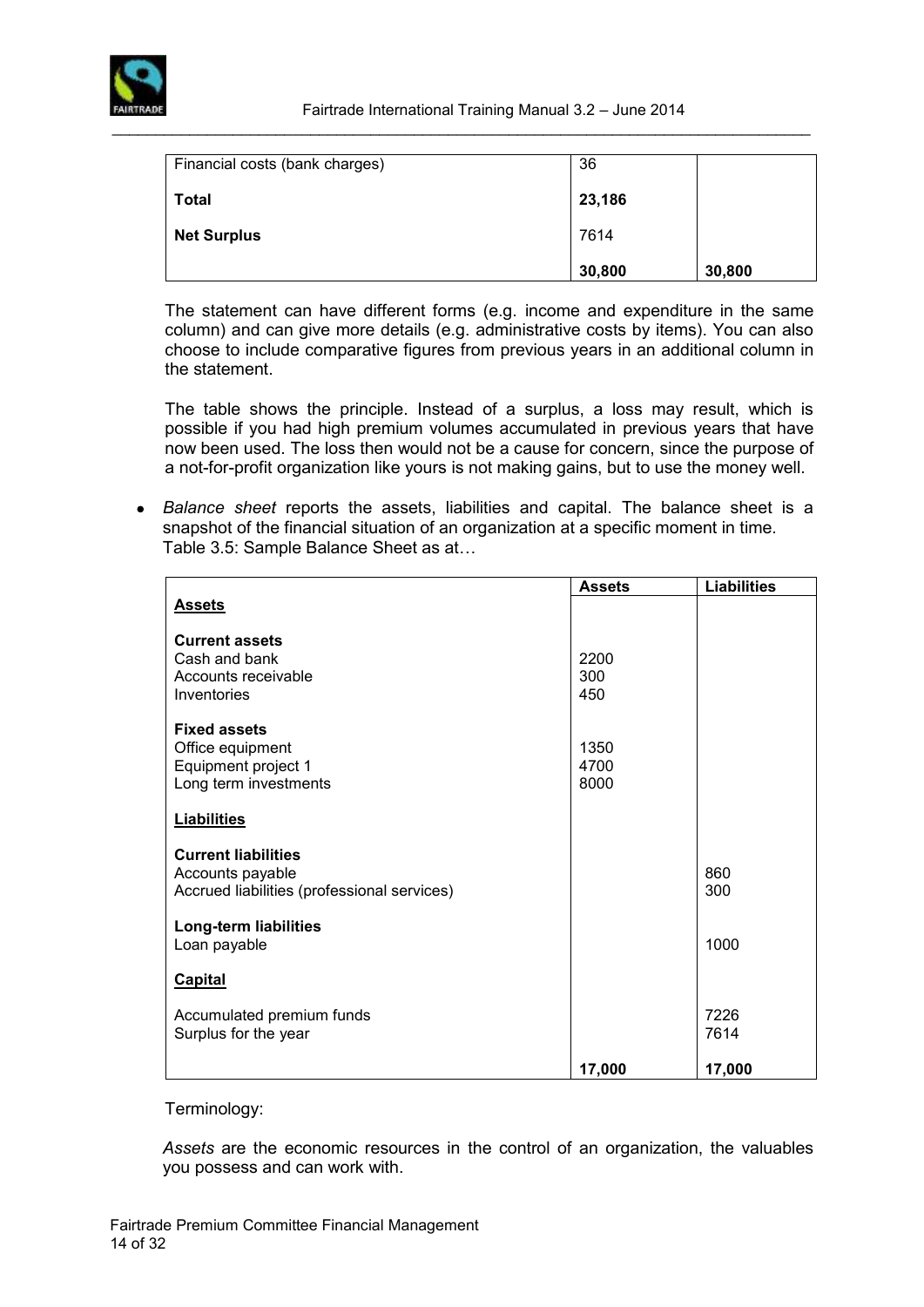

| Financial costs (bank charges) | 36     |        |
|--------------------------------|--------|--------|
| <b>Total</b>                   | 23,186 |        |
| <b>Net Surplus</b>             | 7614   |        |
|                                | 30,800 | 30,800 |

The statement can have different forms (e.g. income and expenditure in the same column) and can give more details (e.g. administrative costs by items). You can also choose to include comparative figures from previous years in an additional column in the statement.

The table shows the principle. Instead of a surplus, a loss may result, which is possible if you had high premium volumes accumulated in previous years that have now been used. The loss then would not be a cause for concern, since the purpose of a not-for-profit organization like yours is not making gains, but to use the money well.

 *Balance sheet* reports the assets, liabilities and capital. The balance sheet is a snapshot of the financial situation of an organization at a specific moment in time. Table 3.5: Sample Balance Sheet as at…

|                                             | <b>Assets</b> | <b>Liabilities</b> |
|---------------------------------------------|---------------|--------------------|
| <b>Assets</b>                               |               |                    |
| <b>Current assets</b>                       |               |                    |
| Cash and bank                               | 2200          |                    |
| Accounts receivable                         | 300           |                    |
| Inventories                                 | 450           |                    |
|                                             |               |                    |
| <b>Fixed assets</b>                         |               |                    |
| Office equipment                            | 1350          |                    |
| Equipment project 1                         | 4700          |                    |
| Long term investments                       | 8000          |                    |
| <b>Liabilities</b>                          |               |                    |
|                                             |               |                    |
| <b>Current liabilities</b>                  |               |                    |
| Accounts payable                            |               | 860                |
| Accrued liabilities (professional services) |               | 300                |
|                                             |               |                    |
| Long-term liabilities<br>Loan payable       |               | 1000               |
|                                             |               |                    |
| <b>Capital</b>                              |               |                    |
|                                             |               |                    |
| Accumulated premium funds                   |               | 7226               |
| Surplus for the year                        |               | 7614               |
|                                             |               |                    |
|                                             | 17,000        | 17,000             |

#### Terminology:

*Assets* are the economic resources in the control of an organization, the valuables you possess and can work with.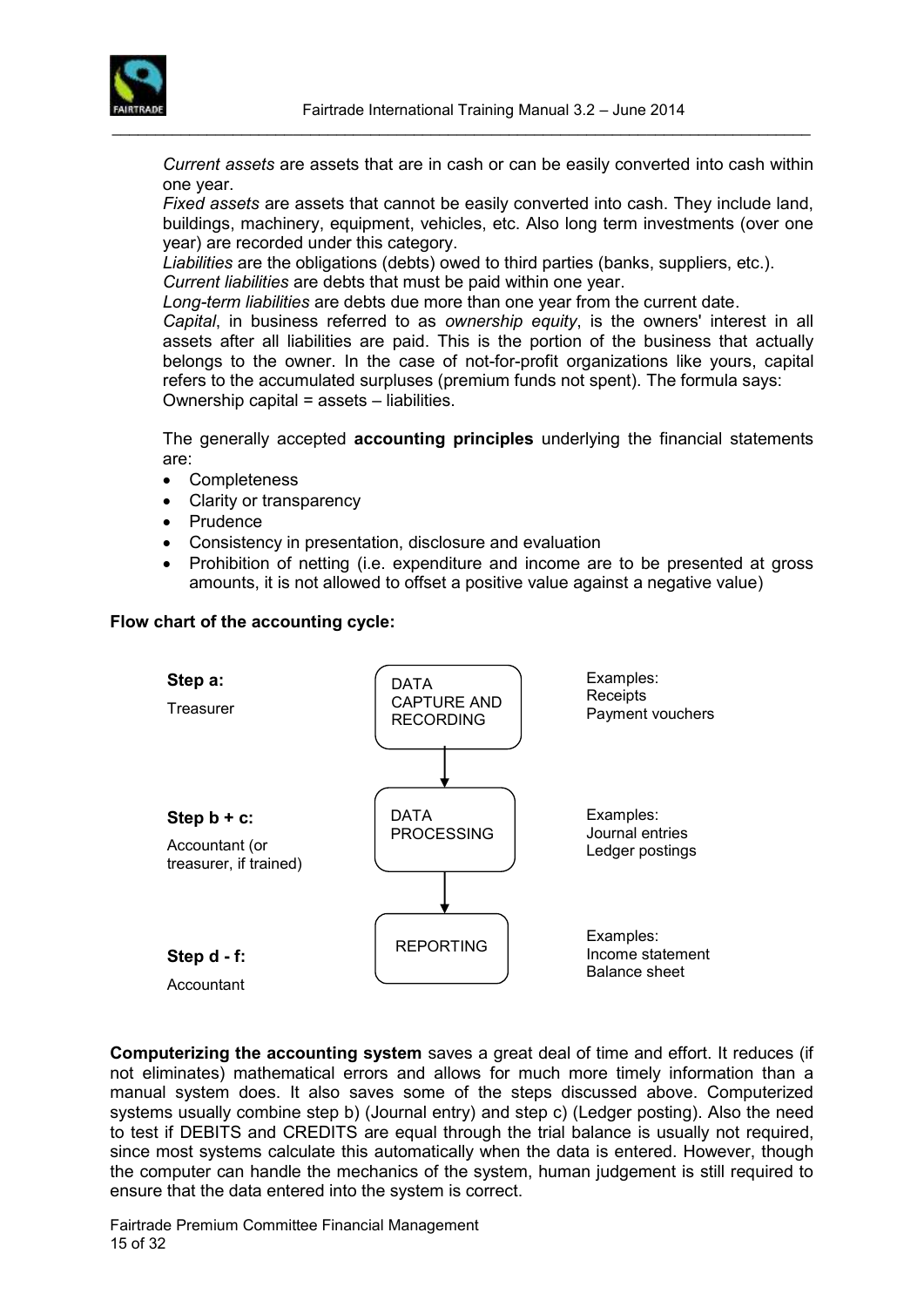

*Current assets* are assets that are in cash or can be easily converted into cash within one year.

*Fixed assets* are assets that cannot be easily converted into cash. They include land, buildings, machinery, equipment, vehicles, etc. Also long term investments (over one year) are recorded under this category.

*Liabilities* are the obligations (debts) owed to third parties (banks, suppliers, etc.). *Current liabilities* are debts that must be paid within one year.

*Long-term liabilities* are debts due more than one year from the current date.

*Capital*, in business referred to as *ownership equity*, is the owners' interest in all [assets](http://en.wikipedia.org/wiki/Asset) after all [liabilities](http://en.wikipedia.org/wiki/Liability) are paid. This is the portion of the business that actually belongs to the owner. In the case of not-for-profit organizations like yours, capital refers to the accumulated surpluses (premium funds not spent). The formula says: Ownership capital = assets – liabilities.

The generally accepted **accounting principles** underlying the financial statements are:

- Completeness
- Clarity or transparency
- Prudence
- Consistency in presentation, disclosure and evaluation
- Prohibition of netting (i.e. expenditure and income are to be presented at gross amounts, it is not allowed to offset a positive value against a negative value)

#### **Flow chart of the accounting cycle:**



**Computerizing the accounting system** saves a great deal of time and effort. It reduces (if not eliminates) mathematical errors and allows for much more timely information than a manual system does. It also saves some of the steps discussed above. Computerized systems usually combine step b) (Journal entry) and step c) (Ledger posting). Also the need to test if DEBITS and CREDITS are equal through the trial balance is usually not required, since most systems calculate this automatically when the data is entered. However, though the computer can handle the mechanics of the system, human judgement is still required to ensure that the data entered into the system is correct.

Fairtrade Premium Committee Financial Management 15 of 32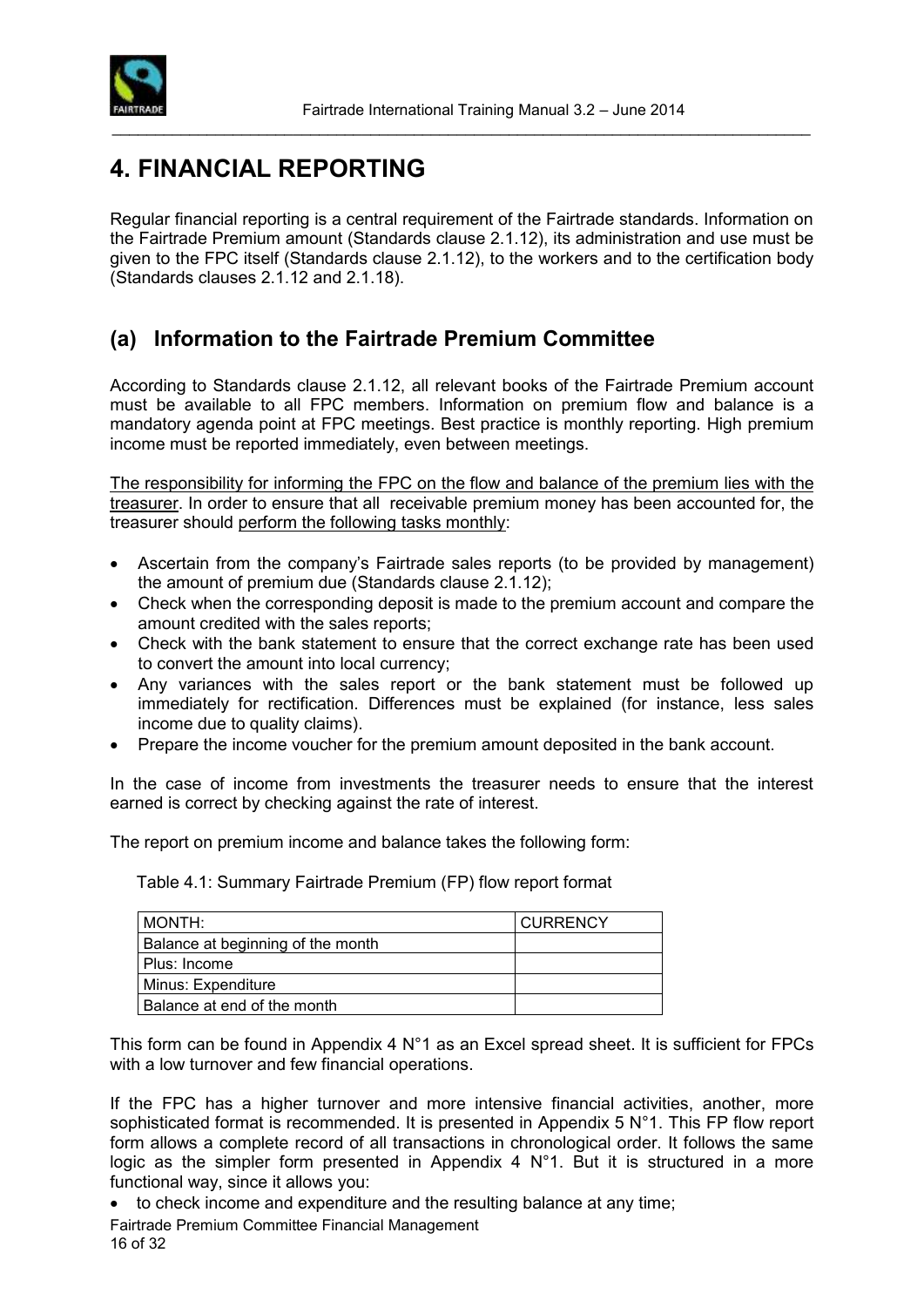

# <span id="page-15-0"></span>**4. FINANCIAL REPORTING**

Regular financial reporting is a central requirement of the Fairtrade standards. Information on the Fairtrade Premium amount (Standards clause 2.1.12), its administration and use must be given to the FPC itself (Standards clause 2.1.12), to the workers and to the certification body (Standards clauses 2.1.12 and 2.1.18).

\_\_\_\_\_\_\_\_\_\_\_\_\_\_\_\_\_\_\_\_\_\_\_\_\_\_\_\_\_\_\_\_\_\_\_\_\_\_\_\_\_\_\_\_\_\_\_\_\_\_\_\_\_\_\_\_\_\_\_\_\_\_\_\_\_\_\_\_\_\_\_\_\_\_\_\_\_\_\_\_\_

### <span id="page-15-1"></span>**(a) Information to the Fairtrade Premium Committee**

According to Standards clause 2.1.12, all relevant books of the Fairtrade Premium account must be available to all FPC members. Information on premium flow and balance is a mandatory agenda point at FPC meetings. Best practice is monthly reporting. High premium income must be reported immediately, even between meetings.

The responsibility for informing the FPC on the flow and balance of the premium lies with the treasurer. In order to ensure that all receivable premium money has been accounted for, the treasurer should perform the following tasks monthly:

- Ascertain from the company's Fairtrade sales reports (to be provided by management) the amount of premium due (Standards clause 2.1.12);
- Check when the corresponding deposit is made to the premium account and compare the amount credited with the sales reports;
- Check with the bank statement to ensure that the correct exchange rate has been used to convert the amount into local currency;
- Any variances with the sales report or the bank statement must be followed up immediately for rectification. Differences must be explained (for instance, less sales income due to quality claims).
- Prepare the income voucher for the premium amount deposited in the bank account.

In the case of income from investments the treasurer needs to ensure that the interest earned is correct by checking against the rate of interest.

The report on premium income and balance takes the following form:

Table 4.1: Summary Fairtrade Premium (FP) flow report format

| MONTH:                            | CURRENCY |
|-----------------------------------|----------|
| Balance at beginning of the month |          |
| Plus: Income                      |          |
| Minus: Expenditure                |          |
| Balance at end of the month       |          |

This form can be found in Appendix 4 N°1 as an Excel spread sheet. It is sufficient for FPCs with a low turnover and few financial operations.

If the FPC has a higher turnover and more intensive financial activities, another, more sophisticated format is recommended. It is presented in Appendix 5 N°1. This FP flow report form allows a complete record of all transactions in chronological order. It follows the same logic as the simpler form presented in Appendix 4 N°1. But it is structured in a more functional way, since it allows you:

- to check income and expenditure and the resulting balance at any time;
- Fairtrade Premium Committee Financial Management 16 of 32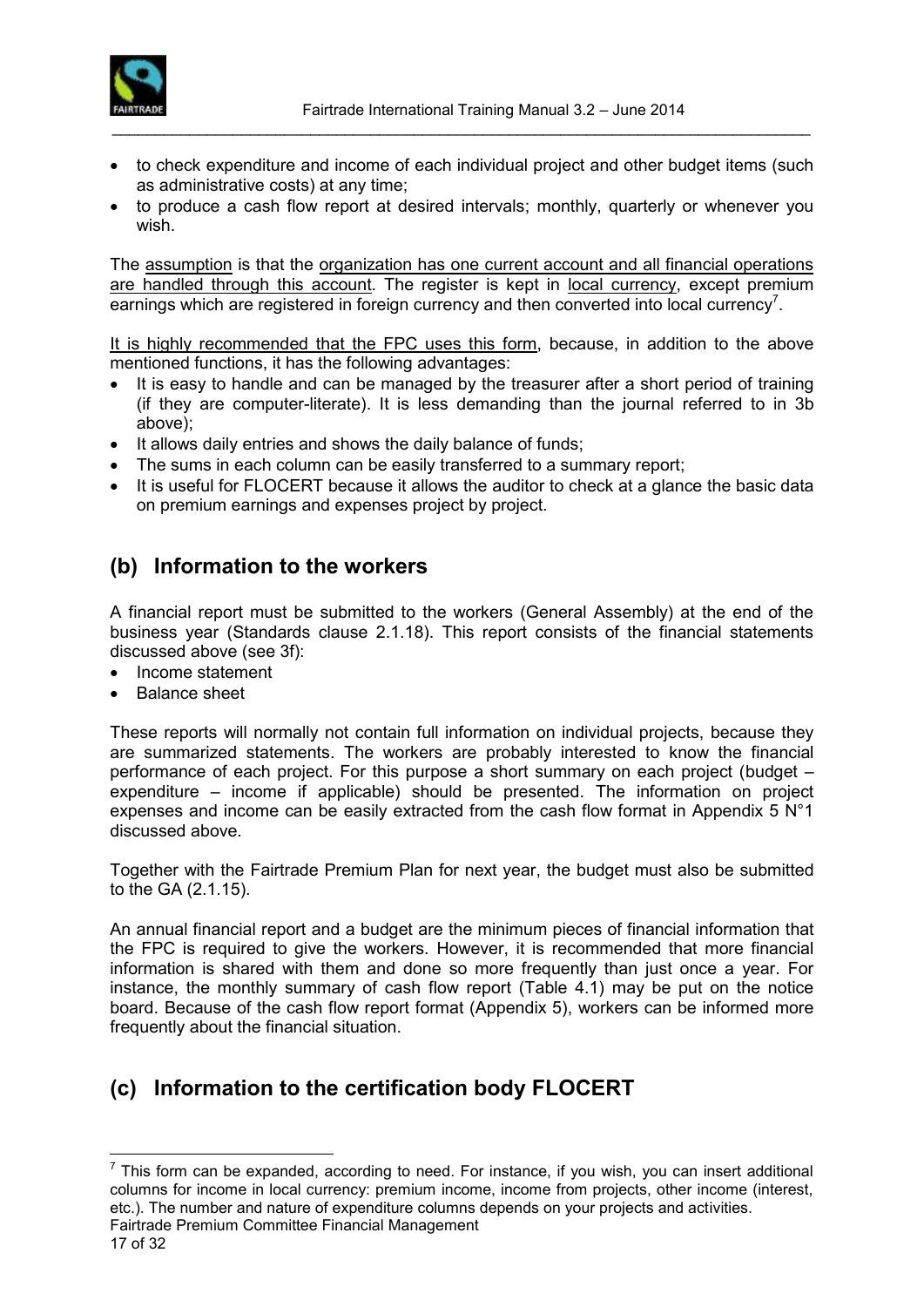

• to check expenditure and income of each individual project and other budget items (such as administrative costs) at any time;

\_\_\_\_\_\_\_\_\_\_\_\_\_\_\_\_\_\_\_\_\_\_\_\_\_\_\_\_\_\_\_\_\_\_\_\_\_\_\_\_\_\_\_\_\_\_\_\_\_\_\_\_\_\_\_\_\_\_\_\_\_\_\_\_\_\_\_\_\_\_\_\_\_\_\_\_\_\_\_\_\_

• to produce a cash flow report at desired intervals; monthly, quarterly or whenever you wish.

The assumption is that the organization has one current account and all financial operations are handled through this account. The register is kept in local currency, except premium earnings which are registered in foreign currency and then converted into local currency<sup>7</sup>.

It is highly recommended that the FPC uses this form, because, in addition to the above mentioned functions, it has the following advantages:

- It is easy to handle and can be managed by the treasurer after a short period of training (if they are computer-literate). It is less demanding than the journal referred to in 3b above);
- It allows daily entries and shows the daily balance of funds;
- The sums in each column can be easily transferred to a summary report;
- It is useful for FLOCERT because it allows the auditor to check at a glance the basic data on premium earnings and expenses project by project.

### <span id="page-16-0"></span>**(b) Information to the workers**

A financial report must be submitted to the workers (General Assembly) at the end of the business year (Standards clause 2.1.18). This report consists of the financial statements discussed above (see 3f):

- Income statement
- Balance sheet

These reports will normally not contain full information on individual projects, because they are summarized statements. The workers are probably interested to know the financial performance of each project. For this purpose a short summary on each project (budget – expenditure – income if applicable) should be presented. The information on project expenses and income can be easily extracted from the cash flow format in Appendix 5  $N^{\circ}1$ discussed above.

Together with the Fairtrade Premium Plan for next year, the budget must also be submitted to the GA (2.1.15).

An annual financial report and a budget are the minimum pieces of financial information that the FPC is required to give the workers. However, it is recommended that more financial information is shared with them and done so more frequently than just once a year. For instance, the monthly summary of cash flow report (Table 4.1) may be put on the notice board. Because of the cash flow report format (Appendix 5), workers can be informed more frequently about the financial situation.

### <span id="page-16-1"></span>**(c) Information to the certification body FLOCERT**

Fairtrade Premium Committee Financial Management  $\overline{a}$  $<sup>7</sup>$  This form can be expanded, according to need. For instance, if you wish, you can insert additional</sup> columns for income in local currency: premium income, income from projects, other income (interest, etc.). The number and nature of expenditure columns depends on your projects and activities.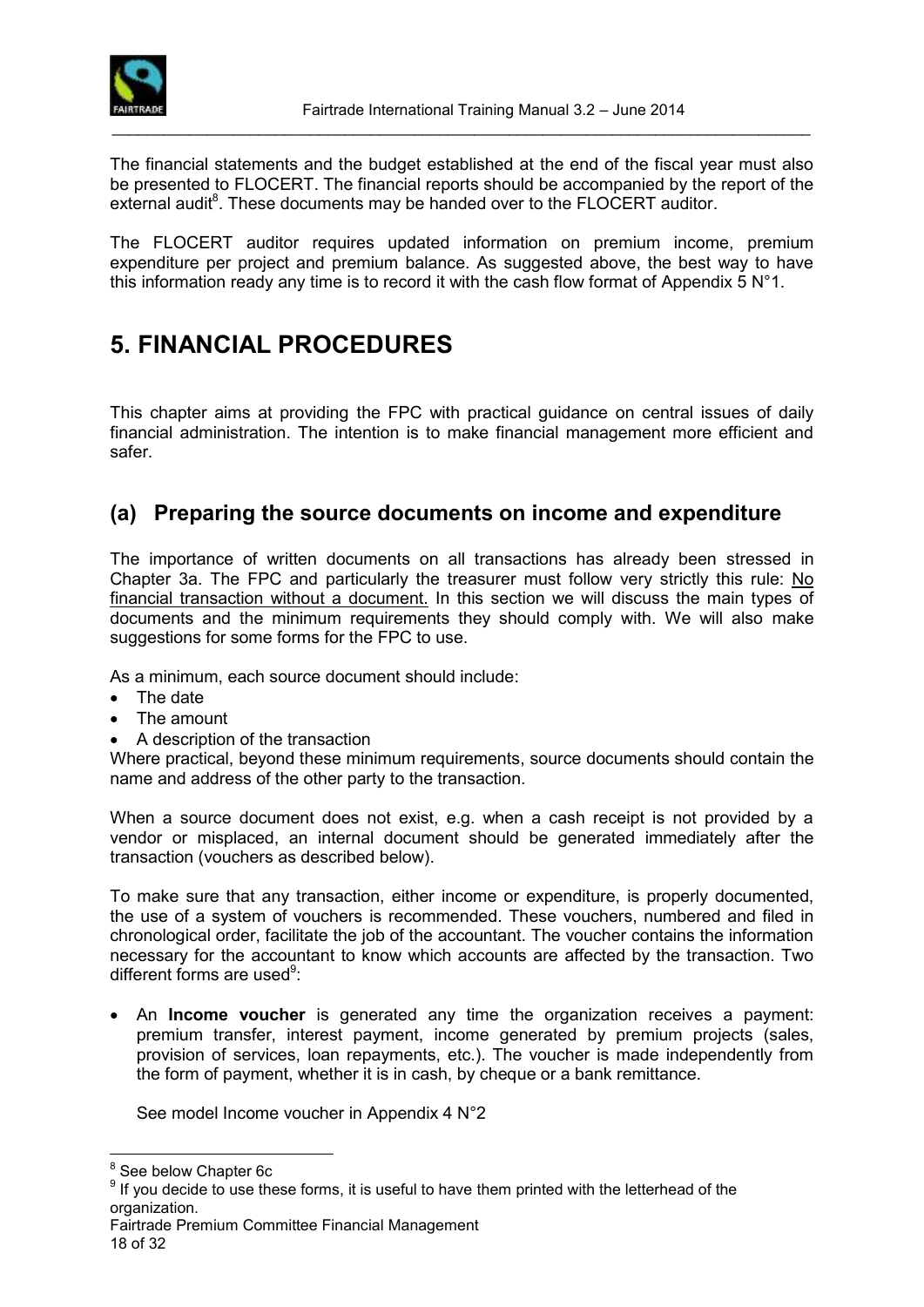

The financial statements and the budget established at the end of the fiscal year must also be presented to FLOCERT. The financial reports should be accompanied by the report of the external audit $8$ . These documents may be handed over to the FLOCERT auditor.

The FLOCERT auditor requires updated information on premium income, premium expenditure per project and premium balance. As suggested above, the best way to have this information ready any time is to record it with the cash flow format of Appendix 5  $N^{\circ}1$ .

# <span id="page-17-0"></span>**5. FINANCIAL PROCEDURES**

This chapter aims at providing the FPC with practical guidance on central issues of daily financial administration. The intention is to make financial management more efficient and safer.

### <span id="page-17-1"></span>**(a) Preparing the source documents on income and expenditure**

The importance of written documents on all transactions has already been stressed in Chapter 3a. The FPC and particularly the treasurer must follow very strictly this rule: No financial transaction without a document. In this section we will discuss the main types of documents and the minimum requirements they should comply with. We will also make suggestions for some forms for the FPC to use.

As a minimum, each source document should include:

- The date
- The amount
- A description of the transaction

Where practical, beyond these minimum requirements, source documents should contain the name and address of the other party to the transaction.

When a source document does not exist, e.g. when a cash receipt is not provided by a vendor or misplaced, an internal document should be generated immediately after the transaction (vouchers as described below).

To make sure that any transaction, either income or expenditure, is properly documented, the use of a system of vouchers is recommended. These vouchers, numbered and filed in chronological order, facilitate the job of the accountant. The voucher contains the information necessary for the accountant to know which accounts are affected by the transaction. Two different forms are used<sup>9</sup>:

 An **Income voucher** is generated any time the organization receives a payment: premium transfer, interest payment, income generated by premium projects (sales, provision of services, loan repayments, etc.). The voucher is made independently from the form of payment, whether it is in cash, by cheque or a bank remittance.

See model Income voucher in Appendix 4 N°2

 $\overline{a}$ 

<sup>&</sup>lt;sup>8</sup> See below Chapter 6c

 $9$  If you decide to use these forms, it is useful to have them printed with the letterhead of the organization.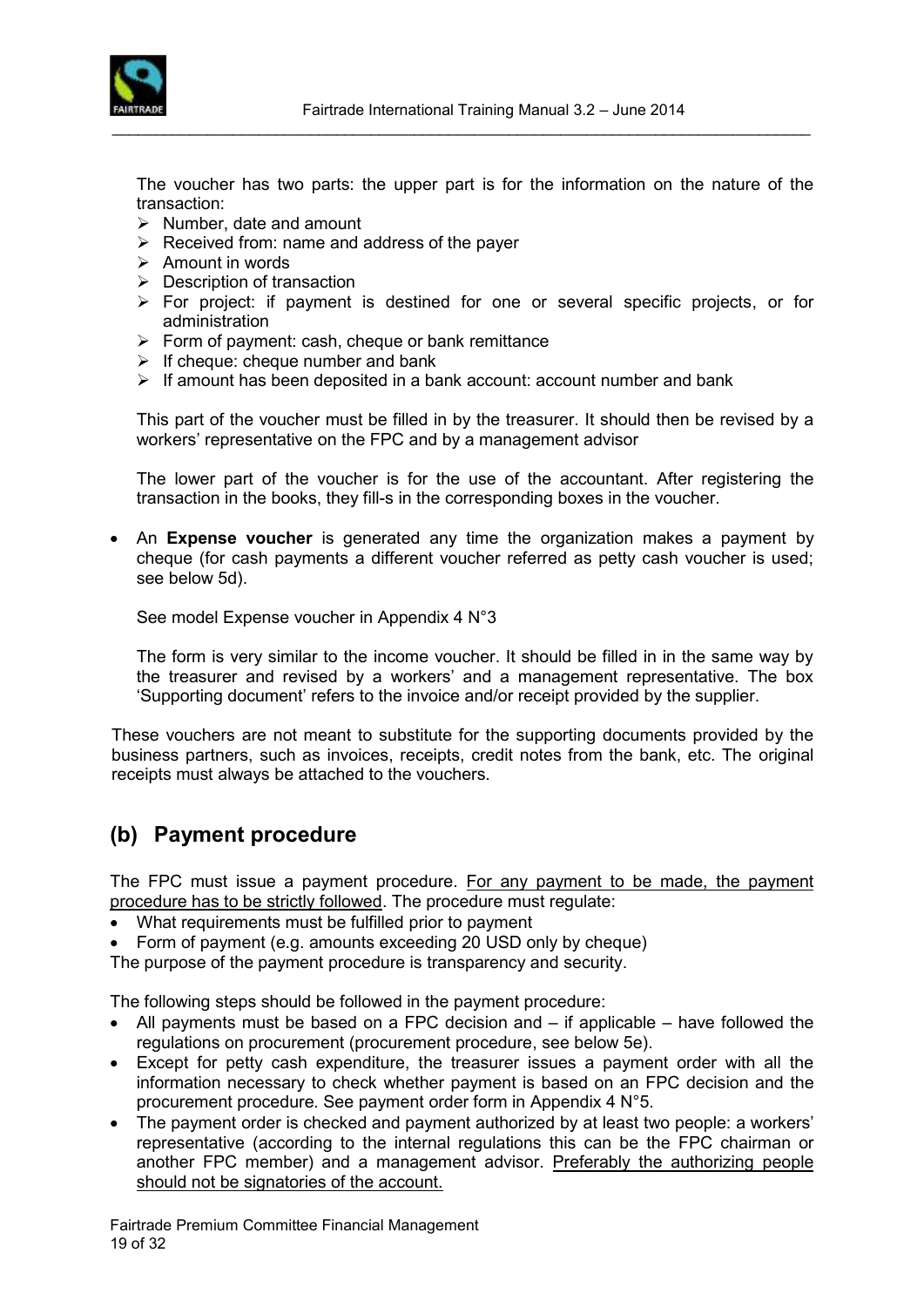

The voucher has two parts: the upper part is for the information on the nature of the transaction:

\_\_\_\_\_\_\_\_\_\_\_\_\_\_\_\_\_\_\_\_\_\_\_\_\_\_\_\_\_\_\_\_\_\_\_\_\_\_\_\_\_\_\_\_\_\_\_\_\_\_\_\_\_\_\_\_\_\_\_\_\_\_\_\_\_\_\_\_\_\_\_\_\_\_\_\_\_\_\_\_\_

- $\triangleright$  Number, date and amount
- $\triangleright$  Received from: name and address of the payer
- $\triangleright$  Amount in words
- $\triangleright$  Description of transaction
- For project: if payment is destined for one or several specific projects, or for administration
- $\triangleright$  Form of payment: cash, cheque or bank remittance
- $\triangleright$  If cheque: cheque number and bank
- $\triangleright$  If amount has been deposited in a bank account: account number and bank

This part of the voucher must be filled in by the treasurer. It should then be revised by a workers' representative on the FPC and by a management advisor

The lower part of the voucher is for the use of the accountant. After registering the transaction in the books, they fill-s in the corresponding boxes in the voucher.

 An **Expense voucher** is generated any time the organization makes a payment by cheque (for cash payments a different voucher referred as petty cash voucher is used; see below 5d).

See model Expense voucher in Appendix 4 N°3

The form is very similar to the income voucher. It should be filled in in the same way by the treasurer and revised by a workers' and a management representative. The box 'Supporting document' refers to the invoice and/or receipt provided by the supplier.

These vouchers are not meant to substitute for the supporting documents provided by the business partners, such as invoices, receipts, credit notes from the bank, etc. The original receipts must always be attached to the vouchers.

### <span id="page-18-0"></span>**(b) Payment procedure**

The FPC must issue a payment procedure. For any payment to be made, the payment procedure has to be strictly followed. The procedure must regulate:

- What requirements must be fulfilled prior to payment
- Form of payment (e.g. amounts exceeding 20 USD only by cheque)

The purpose of the payment procedure is transparency and security.

The following steps should be followed in the payment procedure:

- All payments must be based on a FPC decision and if applicable have followed the regulations on procurement (procurement procedure, see below 5e).
- Except for petty cash expenditure, the treasurer issues a payment order with all the information necessary to check whether payment is based on an FPC decision and the procurement procedure. See payment order form in Appendix 4 N°5.
- The payment order is checked and payment authorized by at least two people: a workers' representative (according to the internal regulations this can be the FPC chairman or another FPC member) and a management advisor. Preferably the authorizing people should not be signatories of the account.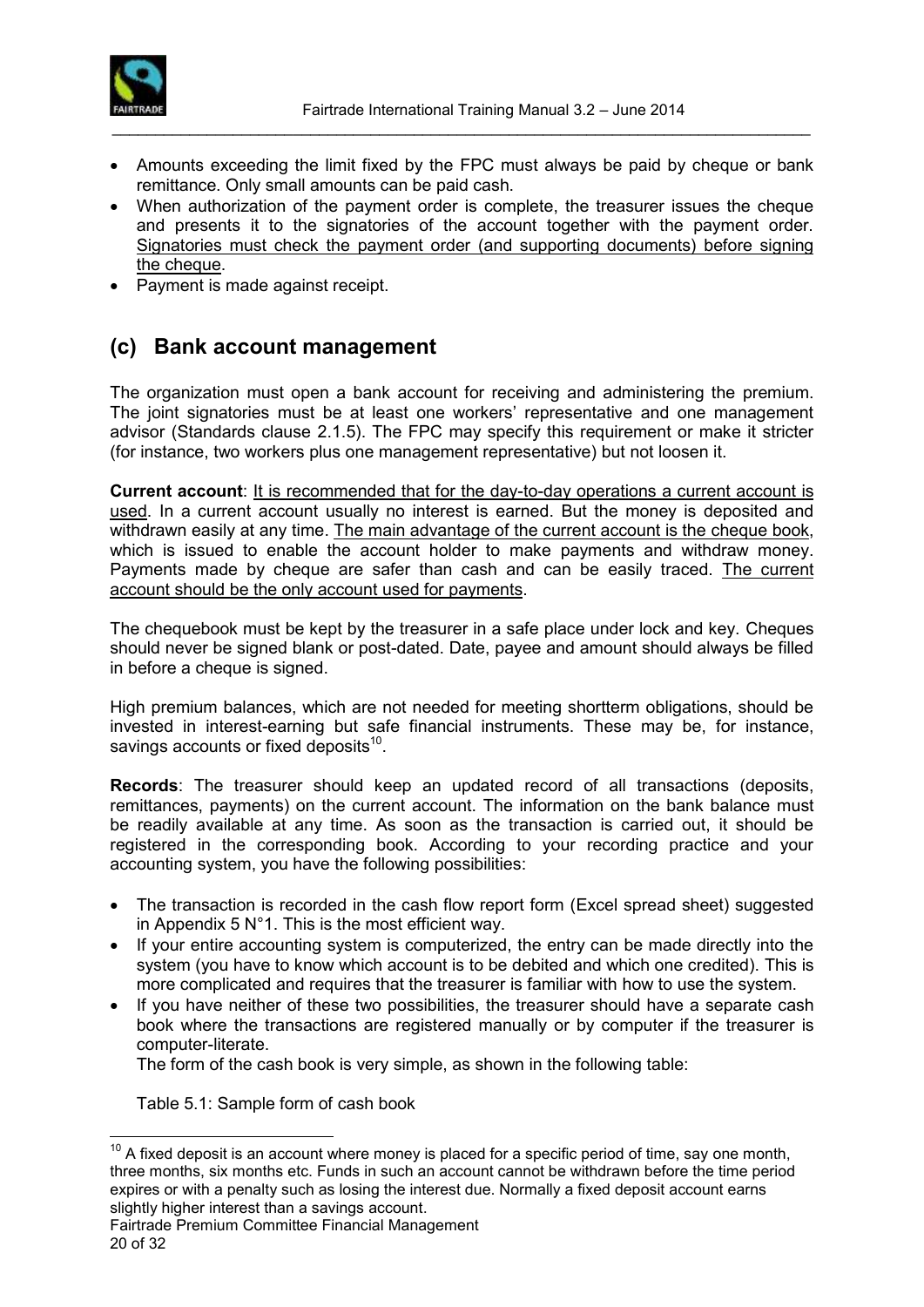

 Amounts exceeding the limit fixed by the FPC must always be paid by cheque or bank remittance. Only small amounts can be paid cash.

\_\_\_\_\_\_\_\_\_\_\_\_\_\_\_\_\_\_\_\_\_\_\_\_\_\_\_\_\_\_\_\_\_\_\_\_\_\_\_\_\_\_\_\_\_\_\_\_\_\_\_\_\_\_\_\_\_\_\_\_\_\_\_\_\_\_\_\_\_\_\_\_\_\_\_\_\_\_\_\_\_

- When authorization of the payment order is complete, the treasurer issues the cheque and presents it to the signatories of the account together with the payment order. Signatories must check the payment order (and supporting documents) before signing the cheque.
- Payment is made against receipt.

### <span id="page-19-0"></span>**(c) Bank account management**

The organization must open a bank account for receiving and administering the premium. The joint signatories must be at least one workers' representative and one management advisor (Standards clause 2.1.5). The FPC may specify this requirement or make it stricter (for instance, two workers plus one management representative) but not loosen it.

**Current account**: It is recommended that for the day-to-day operations a current account is used. In a current account usually no interest is earned. But the money is deposited and withdrawn easily at any time. The main advantage of the current account is the cheque book, which is issued to enable the account holder to make payments and withdraw money. Payments made by cheque are safer than cash and can be easily traced. The current account should be the only account used for payments.

The chequebook must be kept by the treasurer in a safe place under lock and key. Cheques should never be signed blank or post-dated. Date, payee and amount should always be filled in before a cheque is signed.

High premium balances, which are not needed for meeting shortterm obligations, should be invested in interest-earning but safe financial instruments. These may be, for instance, savings accounts or fixed deposits $^{10}$ .

**Records**: The treasurer should keep an updated record of all transactions (deposits, remittances, payments) on the current account. The information on the bank balance must be readily available at any time. As soon as the transaction is carried out, it should be registered in the corresponding book. According to your recording practice and your accounting system, you have the following possibilities:

- The transaction is recorded in the cash flow report form (Excel spread sheet) suggested in Appendix 5  $N^{\circ}$ 1. This is the most efficient way.
- If your entire accounting system is computerized, the entry can be made directly into the system (you have to know which account is to be debited and which one credited). This is more complicated and requires that the treasurer is familiar with how to use the system.
- If you have neither of these two possibilities, the treasurer should have a separate cash book where the transactions are registered manually or by computer if the treasurer is computer-literate.

The form of the cash book is very simple, as shown in the following table:

Table 5.1: Sample form of cash book

 $\overline{a}$ 

 $10$  A fixed deposit is an account where money is placed for a specific period of time, say one month, three months, six months etc. Funds in such an account cannot be withdrawn before the time period expires or with a penalty such as losing the interest due. Normally a fixed deposit account earns slightly higher interest than a savings account.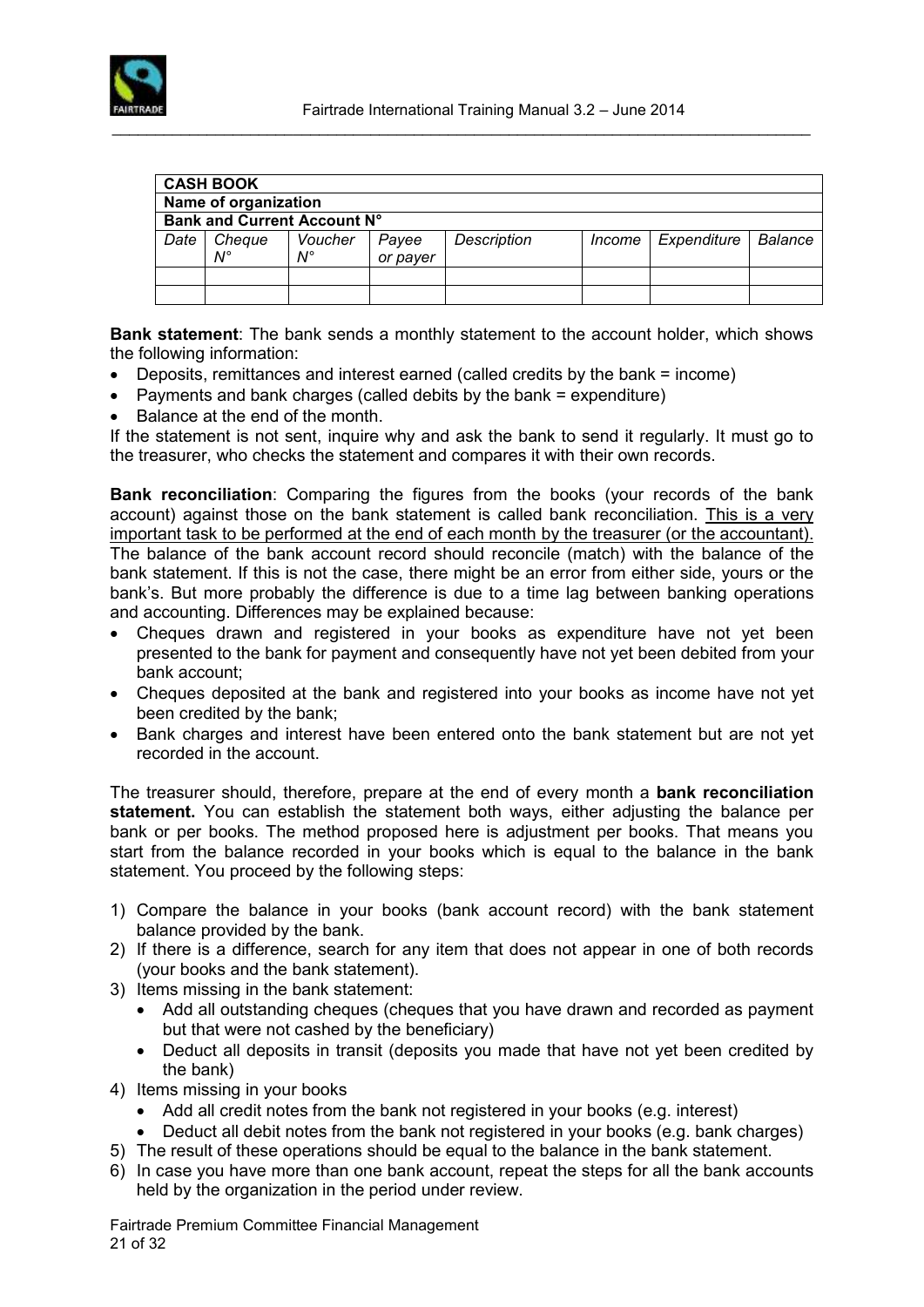

|      | <b>CASH BOOK</b>            |             |          |             |        |             |         |
|------|-----------------------------|-------------|----------|-------------|--------|-------------|---------|
|      | Name of organization        |             |          |             |        |             |         |
|      | Bank and Current Account N° |             |          |             |        |             |         |
| Date | Cheque                      | Voucher     | Payee    | Description | Income | Expenditure | Balance |
|      | $N^{\circ}$                 | $N^{\circ}$ | or payer |             |        |             |         |
|      |                             |             |          |             |        |             |         |
|      |                             |             |          |             |        |             |         |

**Bank statement**: The bank sends a monthly statement to the account holder, which shows the following information:

- Deposits, remittances and interest earned (called credits by the bank = income)
- Payments and bank charges (called debits by the bank = expenditure)
- Balance at the end of the month.

If the statement is not sent, inquire why and ask the bank to send it regularly. It must go to the treasurer, who checks the statement and compares it with their own records.

**Bank reconciliation**: Comparing the figures from the books (your records of the bank account) against those on the bank statement is called bank reconciliation. This is a very important task to be performed at the end of each month by the treasurer (or the accountant). The balance of the bank account record should reconcile (match) with the balance of the bank statement. If this is not the case, there might be an error from either side, yours or the bank's. But more probably the difference is due to a time lag between banking operations and accounting. Differences may be explained because:

- Cheques drawn and registered in your books as expenditure have not yet been presented to the bank for payment and consequently have not yet been debited from your bank account;
- Cheques deposited at the bank and registered into your books as income have not yet been credited by the bank;
- Bank charges and interest have been entered onto the bank statement but are not yet recorded in the account.

The treasurer should, therefore, prepare at the end of every month a **bank reconciliation statement.** You can establish the statement both ways, either adjusting the balance per bank or per books. The method proposed here is adjustment per books. That means you start from the balance recorded in your books which is equal to the balance in the bank statement. You proceed by the following steps:

- 1) Compare the balance in your books (bank account record) with the bank statement balance provided by the bank.
- 2) If there is a difference, search for any item that does not appear in one of both records (your books and the bank statement).
- 3) Items missing in the bank statement:
	- Add all outstanding cheques (cheques that you have drawn and recorded as payment but that were not cashed by the beneficiary)
	- Deduct all deposits in transit (deposits you made that have not yet been credited by the bank)
- 4) Items missing in your books
	- Add all credit notes from the bank not registered in your books (e.g. interest)
	- Deduct all debit notes from the bank not registered in your books (e.g. bank charges)
- 5) The result of these operations should be equal to the balance in the bank statement.
- 6) In case you have more than one bank account, repeat the steps for all the bank accounts held by the organization in the period under review.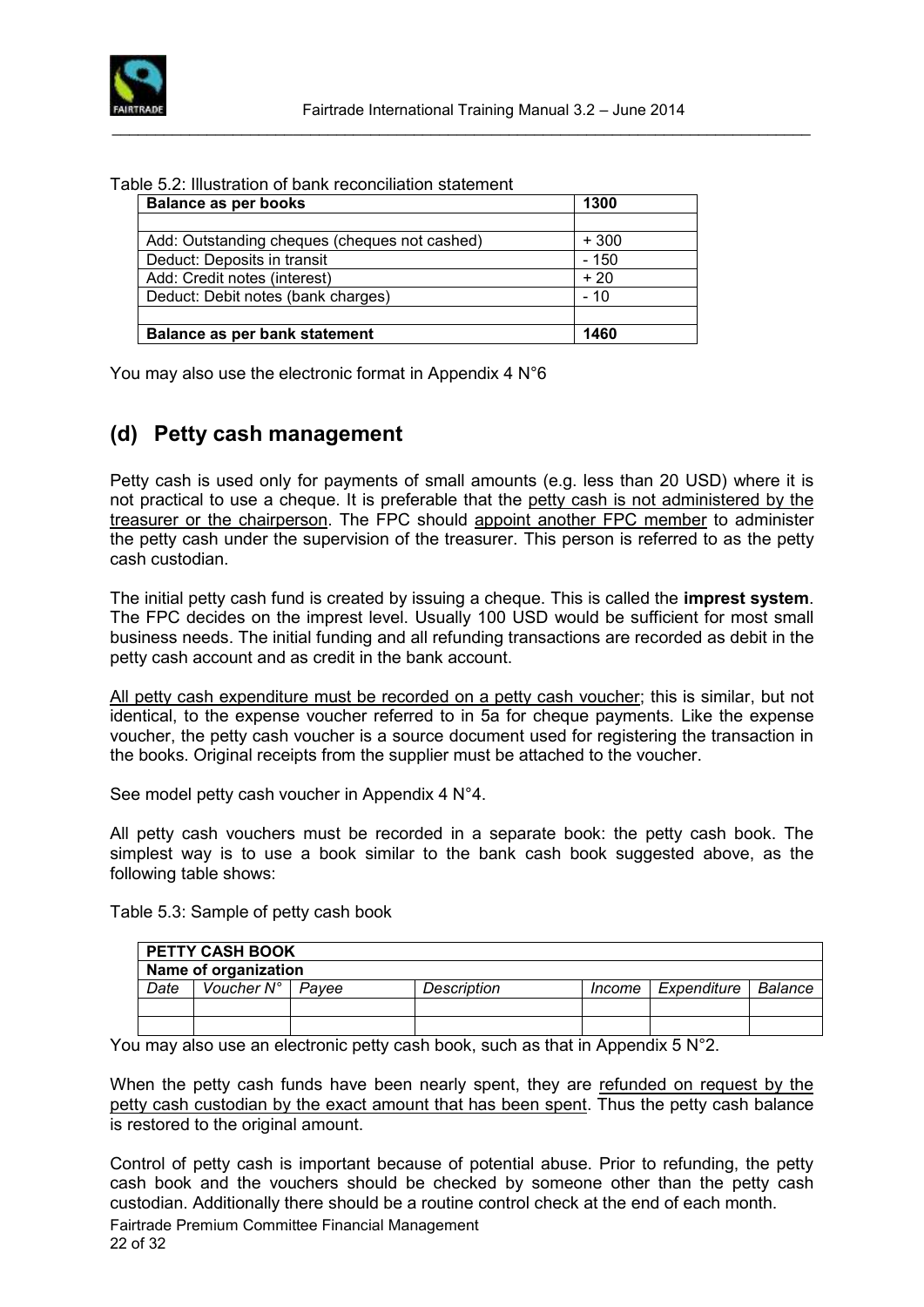

#### Table 5.2: Illustration of bank reconciliation statement

| <b>Balance as per books</b>                   | 1300   |
|-----------------------------------------------|--------|
|                                               |        |
| Add: Outstanding cheques (cheques not cashed) | $+300$ |
| Deduct: Deposits in transit                   | $-150$ |
| Add: Credit notes (interest)                  | $+20$  |
| Deduct: Debit notes (bank charges)            | $-10$  |
|                                               |        |
| Balance as per bank statement                 | 1460   |

You may also use the electronic format in Appendix 4 N°6

### <span id="page-21-0"></span>**(d) Petty cash management**

Petty cash is used only for payments of small amounts (e.g. less than 20 USD) where it is not practical to use a cheque. It is preferable that the petty cash is not administered by the treasurer or the chairperson. The FPC should appoint another FPC member to administer the petty cash under the supervision of the treasurer. This person is referred to as the petty cash custodian.

The initial petty cash fund is created by issuing a cheque. This is called the **imprest system**. The FPC decides on the imprest level. Usually 100 USD would be sufficient for most small business needs. The initial funding and all refunding transactions are recorded as debit in the petty cash account and as credit in the bank account.

All petty cash expenditure must be recorded on a petty cash voucher; this is similar, but not identical, to the expense voucher referred to in 5a for cheque payments. Like the expense voucher, the petty cash voucher is a source document used for registering the transaction in the books. Original receipts from the supplier must be attached to the voucher.

See model petty cash voucher in Appendix 4 N°4.

All petty cash vouchers must be recorded in a separate book: the petty cash book. The simplest way is to use a book similar to the bank cash book suggested above, as the following table shows:

|      | <b>PETTY CASH BOOK</b>      |             |          |             |           |
|------|-----------------------------|-------------|----------|-------------|-----------|
|      | Name of organization        |             |          |             |           |
| Date | Voucher $N^{\circ}$   Payee | Description | Income I | Expenditure | l Balance |
|      |                             |             |          |             |           |
|      |                             |             |          |             |           |

Table 5.3: Sample of petty cash book

You may also use an electronic petty cash book, such as that in Appendix 5 N°2.

When the petty cash funds have been nearly spent, they are refunded on request by the petty cash custodian by the exact amount that has been spent. Thus the petty cash balance is restored to the original amount.

Fairtrade Premium Committee Financial Management 22 of 32 Control of petty cash is important because of potential abuse. Prior to refunding, the petty cash book and the vouchers should be checked by someone other than the petty cash custodian. Additionally there should be a routine control check at the end of each month.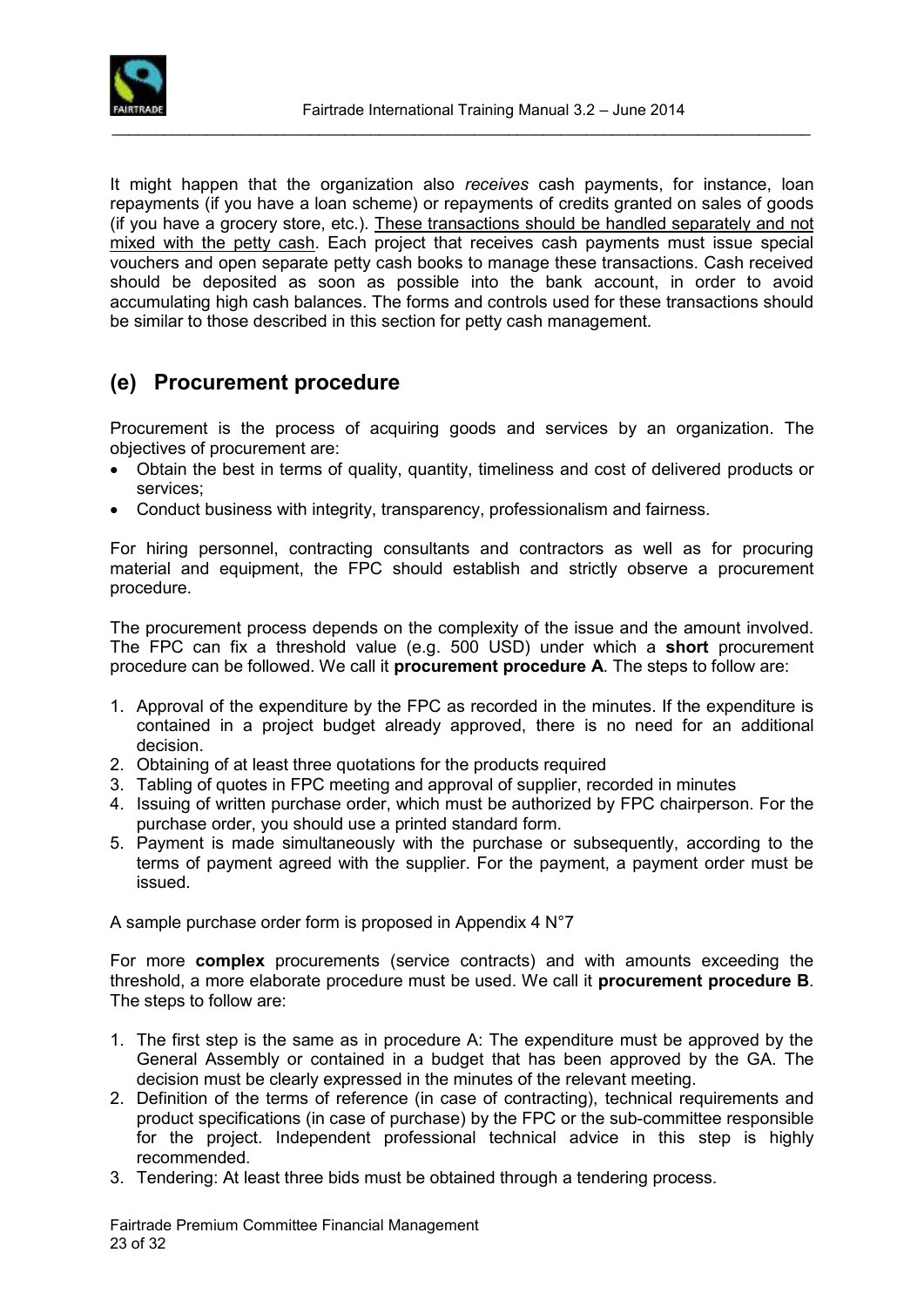

It might happen that the organization also *receives* cash payments, for instance, loan repayments (if you have a loan scheme) or repayments of credits granted on sales of goods (if you have a grocery store, etc.). These transactions should be handled separately and not mixed with the petty cash. Each project that receives cash payments must issue special vouchers and open separate petty cash books to manage these transactions. Cash received should be deposited as soon as possible into the bank account, in order to avoid accumulating high cash balances. The forms and controls used for these transactions should be similar to those described in this section for petty cash management.

### <span id="page-22-0"></span>**(e) Procurement procedure**

Procurement is the process of acquiring goods and services by an organization. The objectives of procurement are:

- Obtain the best in terms of quality, quantity, timeliness and cost of delivered products or services;
- Conduct business with integrity, transparency, professionalism and fairness.

For hiring personnel, contracting consultants and contractors as well as for procuring material and equipment, the FPC should establish and strictly observe a procurement procedure.

The procurement process depends on the complexity of the issue and the amount involved. The FPC can fix a threshold value (e.g. 500 USD) under which a **short** procurement procedure can be followed. We call it **procurement procedure A**. The steps to follow are:

- 1. Approval of the expenditure by the FPC as recorded in the minutes. If the expenditure is contained in a project budget already approved, there is no need for an additional decision.
- 2. Obtaining of at least three quotations for the products required
- 3. Tabling of quotes in FPC meeting and approval of supplier, recorded in minutes
- 4. Issuing of written purchase order, which must be authorized by FPC chairperson. For the purchase order, you should use a printed standard form.
- 5. Payment is made simultaneously with the purchase or subsequently, according to the terms of payment agreed with the supplier. For the payment, a payment order must be issued.

A sample purchase order form is proposed in Appendix 4 N°7

For more **complex** procurements (service contracts) and with amounts exceeding the threshold, a more elaborate procedure must be used. We call it **procurement procedure B**. The steps to follow are:

- 1. The first step is the same as in procedure A: The expenditure must be approved by the General Assembly or contained in a budget that has been approved by the GA. The decision must be clearly expressed in the minutes of the relevant meeting.
- 2. Definition of the terms of reference (in case of contracting), technical requirements and product specifications (in case of purchase) by the FPC or the sub-committee responsible for the project. Independent professional technical advice in this step is highly recommended.
- 3. Tendering: At least three bids must be obtained through a tendering process.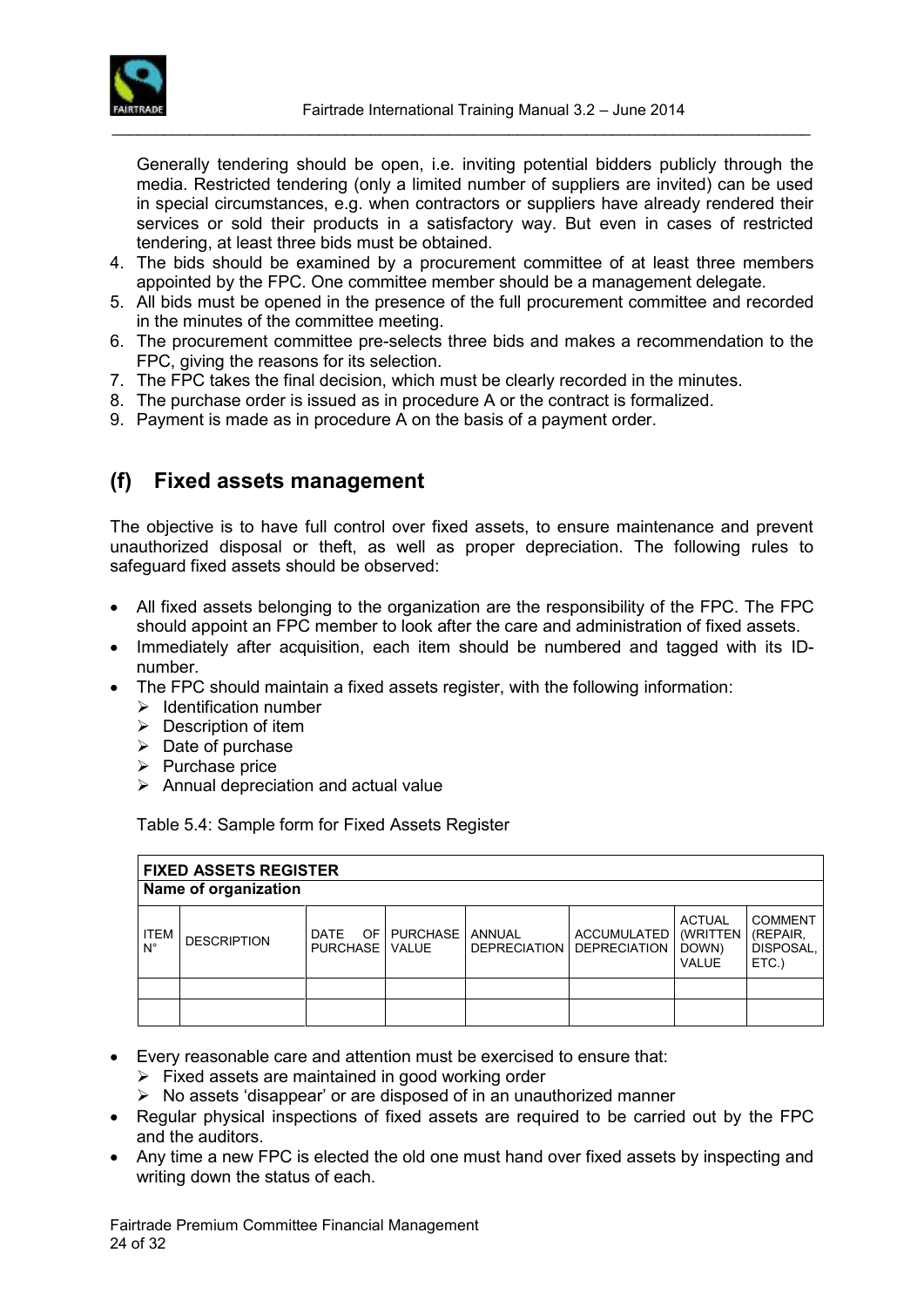

Generally tendering should be open, i.e. inviting potential bidders publicly through the media. Restricted tendering (only a limited number of suppliers are invited) can be used in special circumstances, e.g. when contractors or suppliers have already rendered their services or sold their products in a satisfactory way. But even in cases of restricted tendering, at least three bids must be obtained.

- 4. The bids should be examined by a procurement committee of at least three members appointed by the FPC. One committee member should be a management delegate.
- 5. All bids must be opened in the presence of the full procurement committee and recorded in the minutes of the committee meeting.
- 6. The procurement committee pre-selects three bids and makes a recommendation to the FPC, giving the reasons for its selection.
- 7. The FPC takes the final decision, which must be clearly recorded in the minutes.
- 8. The purchase order is issued as in procedure A or the contract is formalized.
- 9. Payment is made as in procedure A on the basis of a payment order.

### <span id="page-23-0"></span>**(f) Fixed assets management**

The objective is to have full control over fixed assets, to ensure maintenance and prevent unauthorized disposal or theft, as well as proper depreciation. The following rules to safeguard fixed assets should be observed:

- All fixed assets belonging to the organization are the responsibility of the FPC. The FPC should appoint an FPC member to look after the care and administration of fixed assets.
- Immediately after acquisition, each item should be numbered and tagged with its IDnumber.
- The FPC should maintain a fixed assets register, with the following information:
	- $\triangleright$  Identification number
	- $\triangleright$  Description of item
	- $\triangleright$  Date of purchase
	- $\triangleright$  Purchase price
	- $\triangleright$  Annual depreciation and actual value

Table 5.4: Sample form for Fixed Assets Register

|                            | <b>FIXED ASSETS REGISTER</b> |                          |             |        |                                          |                                                            |                                                  |
|----------------------------|------------------------------|--------------------------|-------------|--------|------------------------------------------|------------------------------------------------------------|--------------------------------------------------|
|                            | Name of organization         |                          |             |        |                                          |                                                            |                                                  |
| <b>ITEM</b><br>$N^{\circ}$ | <b>DESCRIPTION</b>           | DATE<br>PURCHASE   VALUE | OF PURCHASE | ANNUAL | ACCUMULATED<br>DEPRECIATION DEPRECIATION | <b>ACTUAL</b><br><b>(WRITTEN)</b><br>DOWN)<br><b>VALUE</b> | <b>COMMENT</b><br>(REPAIR,<br>DISPOSAL,<br>ETC.) |
|                            |                              |                          |             |        |                                          |                                                            |                                                  |
|                            |                              |                          |             |        |                                          |                                                            |                                                  |

- Every reasonable care and attention must be exercised to ensure that:
	- $\triangleright$  Fixed assets are maintained in good working order
	- $\triangleright$  No assets 'disappear' or are disposed of in an unauthorized manner
- Regular physical inspections of fixed assets are required to be carried out by the FPC and the auditors.
- Any time a new FPC is elected the old one must hand over fixed assets by inspecting and writing down the status of each.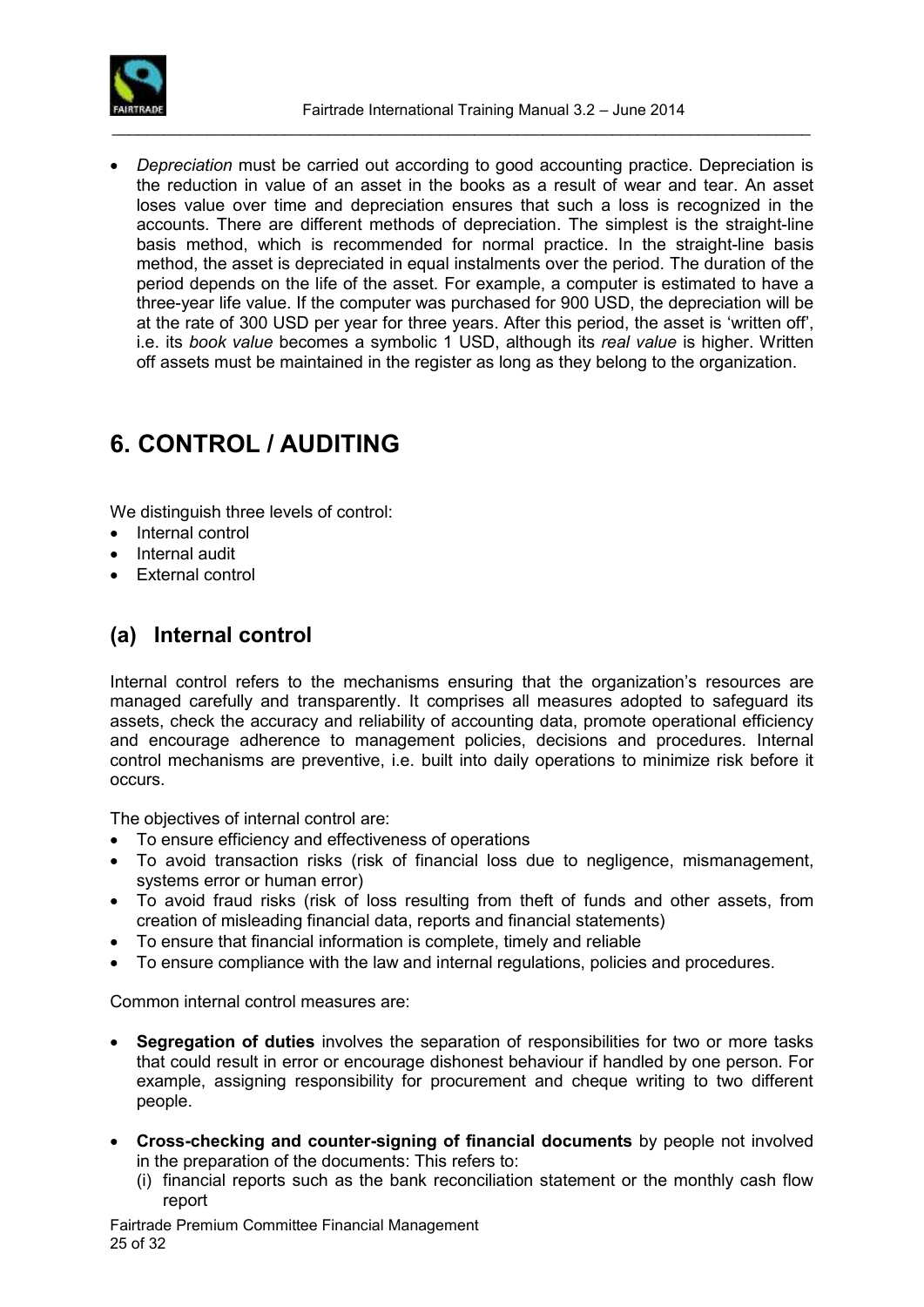

 *Depreciation* must be carried out according to good accounting practice. Depreciation is the reduction in value of an asset in the books as a result of wear and tear. An asset loses value over time and depreciation ensures that such a loss is recognized in the accounts. There are different methods of depreciation. The simplest is the straight-line basis method, which is recommended for normal practice. In the straight-line basis method, the asset is depreciated in equal instalments over the period. The duration of the period depends on the life of the asset. For example, a computer is estimated to have a three-year life value. If the computer was purchased for 900 USD, the depreciation will be at the rate of 300 USD per year for three years. After this period, the asset is 'written off', i.e. its *book value* becomes a symbolic 1 USD, although its *real value* is higher. Written off assets must be maintained in the register as long as they belong to the organization.

# <span id="page-24-0"></span>**6. CONTROL / AUDITING**

We distinguish three levels of control:

- Internal control
- Internal audit
- External control

### <span id="page-24-1"></span>**(a) Internal control**

Internal control refers to the mechanisms ensuring that the organization's resources are managed carefully and transparently. It comprises all measures adopted to safeguard its assets, check the accuracy and reliability of accounting data, promote operational efficiency and encourage adherence to management policies, decisions and procedures. Internal control mechanisms are preventive, i.e. built into daily operations to minimize risk before it occurs.

The objectives of internal control are:

- To ensure efficiency and effectiveness of operations
- To avoid transaction risks (risk of financial loss due to negligence, mismanagement, systems error or human error)
- To avoid fraud risks (risk of loss resulting from theft of funds and other assets, from creation of misleading financial data, reports and financial statements)
- To ensure that financial information is complete, timely and reliable
- To ensure compliance with the law and internal regulations, policies and procedures.

Common internal control measures are:

- **Segregation of duties** involves the separation of responsibilities for two or more tasks that could result in error or encourage dishonest behaviour if handled by one person. For example, assigning responsibility for procurement and cheque writing to two different people.
- **Cross-checking and counter-signing of financial documents** by people not involved in the preparation of the documents: This refers to:
	- (i) financial reports such as the bank reconciliation statement or the monthly cash flow report

Fairtrade Premium Committee Financial Management 25 of 32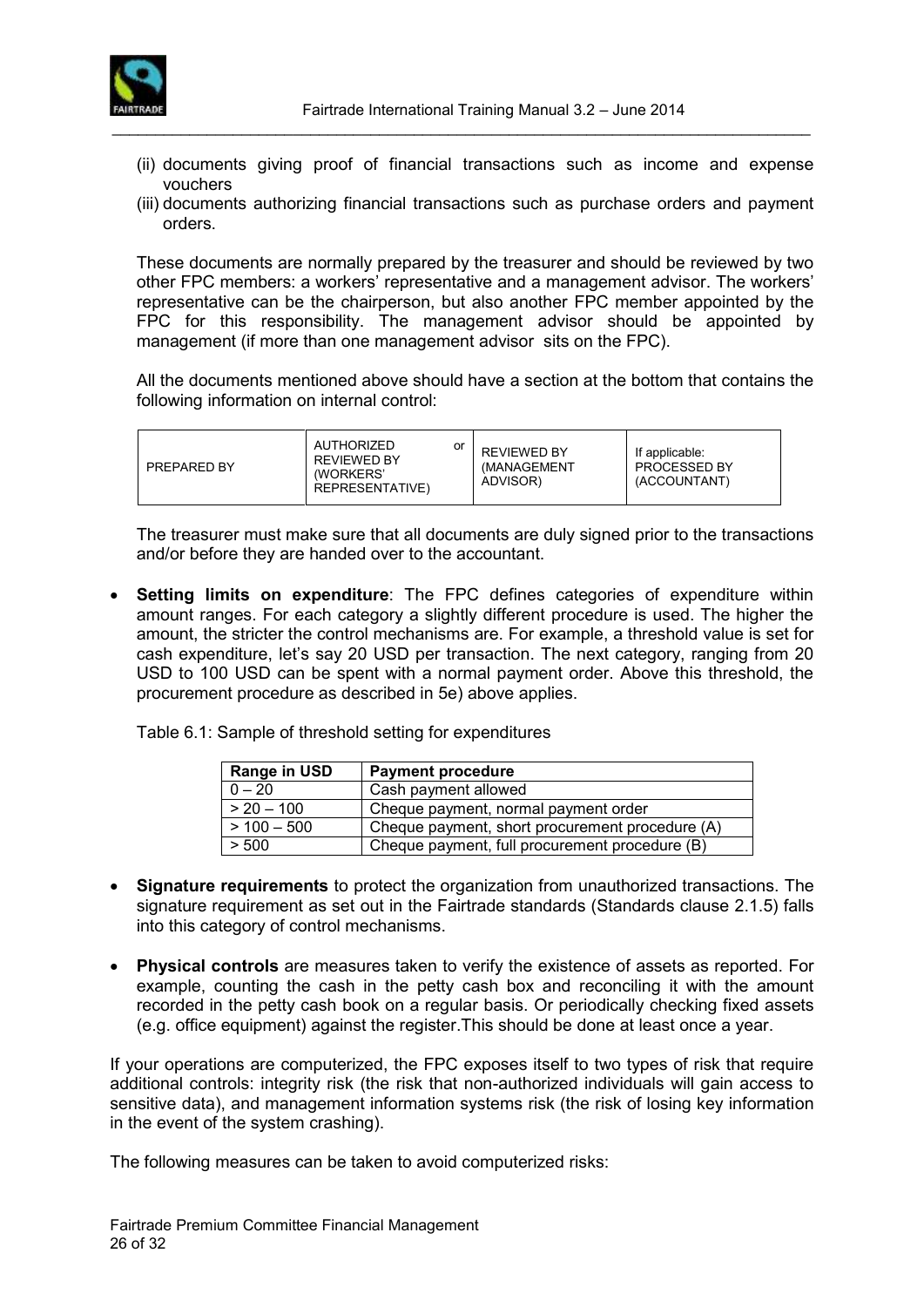

(ii) documents giving proof of financial transactions such as income and expense vouchers

\_\_\_\_\_\_\_\_\_\_\_\_\_\_\_\_\_\_\_\_\_\_\_\_\_\_\_\_\_\_\_\_\_\_\_\_\_\_\_\_\_\_\_\_\_\_\_\_\_\_\_\_\_\_\_\_\_\_\_\_\_\_\_\_\_\_\_\_\_\_\_\_\_\_\_\_\_\_\_\_\_

(iii) documents authorizing financial transactions such as purchase orders and payment orders.

These documents are normally prepared by the treasurer and should be reviewed by two other FPC members: a workers' representative and a management advisor. The workers' representative can be the chairperson, but also another FPC member appointed by the FPC for this responsibility. The management advisor should be appointed by management (if more than one management advisor sits on the FPC).

All the documents mentioned above should have a section at the bottom that contains the following information on internal control:

| <b>PREPARED BY</b> | AUTHORIZED<br>or<br><b>REVIEWED BY</b><br>(WORKERS'<br>REPRESENTATIVE) | <b>REVIEWED BY</b><br>(MANAGEMENT<br>ADVISOR) | If applicable:<br><b>PROCESSED BY</b><br>(ACCOUNTANT) |
|--------------------|------------------------------------------------------------------------|-----------------------------------------------|-------------------------------------------------------|
|--------------------|------------------------------------------------------------------------|-----------------------------------------------|-------------------------------------------------------|

The treasurer must make sure that all documents are duly signed prior to the transactions and/or before they are handed over to the accountant.

 **Setting limits on expenditure**: The FPC defines categories of expenditure within amount ranges. For each category a slightly different procedure is used. The higher the amount, the stricter the control mechanisms are. For example, a threshold value is set for cash expenditure, let's say 20 USD per transaction. The next category, ranging from 20 USD to 100 USD can be spent with a normal payment order. Above this threshold, the procurement procedure as described in 5e) above applies.

Table 6.1: Sample of threshold setting for expenditures

| Range in USD  | <b>Payment procedure</b>                        |
|---------------|-------------------------------------------------|
| $0 - 20$      | Cash payment allowed                            |
| $> 20 - 100$  | Cheque payment, normal payment order            |
| $> 100 - 500$ | Cheque payment, short procurement procedure (A) |
| > 500         | Cheque payment, full procurement procedure (B)  |

- **Signature requirements** to protect the organization from unauthorized transactions. The signature requirement as set out in the Fairtrade standards (Standards clause 2.1.5) falls into this category of control mechanisms.
- **Physical controls** are measures taken to verify the existence of assets as reported. For example, counting the cash in the petty cash box and reconciling it with the amount recorded in the petty cash book on a regular basis. Or periodically checking fixed assets (e.g. office equipment) against the register.This should be done at least once a year.

If your operations are computerized, the FPC exposes itself to two types of risk that require additional controls: integrity risk (the risk that non-authorized individuals will gain access to sensitive data), and management information systems risk (the risk of losing key information in the event of the system crashing).

The following measures can be taken to avoid computerized risks: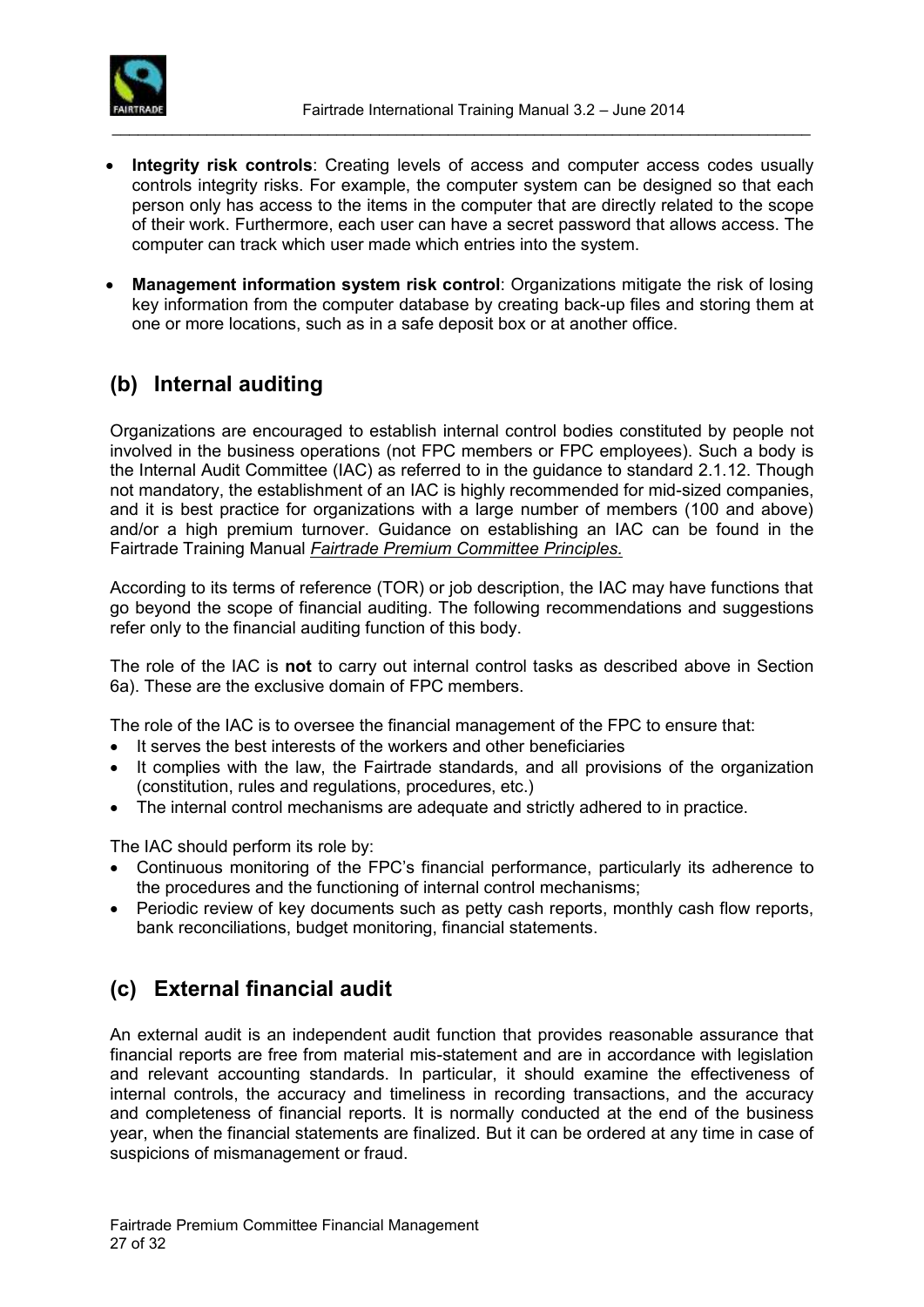

- **Integrity risk controls**: Creating levels of access and computer access codes usually controls integrity risks. For example, the computer system can be designed so that each person only has access to the items in the computer that are directly related to the scope of their work. Furthermore, each user can have a secret password that allows access. The computer can track which user made which entries into the system.
- **Management information system risk control**: Organizations mitigate the risk of losing key information from the computer database by creating back-up files and storing them at one or more locations, such as in a safe deposit box or at another office.

### <span id="page-26-0"></span>**(b) Internal auditing**

Organizations are encouraged to establish internal control bodies constituted by people not involved in the business operations (not FPC members or FPC employees). Such a body is the Internal Audit Committee (IAC) as referred to in the guidance to standard 2.1.12. Though not mandatory, the establishment of an IAC is highly recommended for mid-sized companies, and it is best practice for organizations with a large number of members (100 and above) and/or a high premium turnover. Guidance on establishing an IAC can be found in the Fairtrade Training Manual *Fairtrade Premium Committee Principles.*

According to its terms of reference (TOR) or job description, the IAC may have functions that go beyond the scope of financial auditing. The following recommendations and suggestions refer only to the financial auditing function of this body.

The role of the IAC is **not** to carry out internal control tasks as described above in Section 6a). These are the exclusive domain of FPC members.

The role of the IAC is to oversee the financial management of the FPC to ensure that:

- It serves the best interests of the workers and other beneficiaries
- It complies with the law, the Fairtrade standards, and all provisions of the organization (constitution, rules and regulations, procedures, etc.)
- The internal control mechanisms are adequate and strictly adhered to in practice.

The IAC should perform its role by:

- Continuous monitoring of the FPC's financial performance, particularly its adherence to the procedures and the functioning of internal control mechanisms;
- Periodic review of key documents such as petty cash reports, monthly cash flow reports, bank reconciliations, budget monitoring, financial statements.

### <span id="page-26-1"></span>**(c) External financial audit**

An external audit is an independent audit function that provides reasonable assurance that financial reports are free from material mis-statement and are in accordance with legislation and relevant accounting standards. In particular, it should examine the effectiveness of internal controls, the accuracy and timeliness in recording transactions, and the accuracy and completeness of financial reports. It is normally conducted at the end of the business year, when the financial statements are finalized. But it can be ordered at any time in case of suspicions of mismanagement or fraud.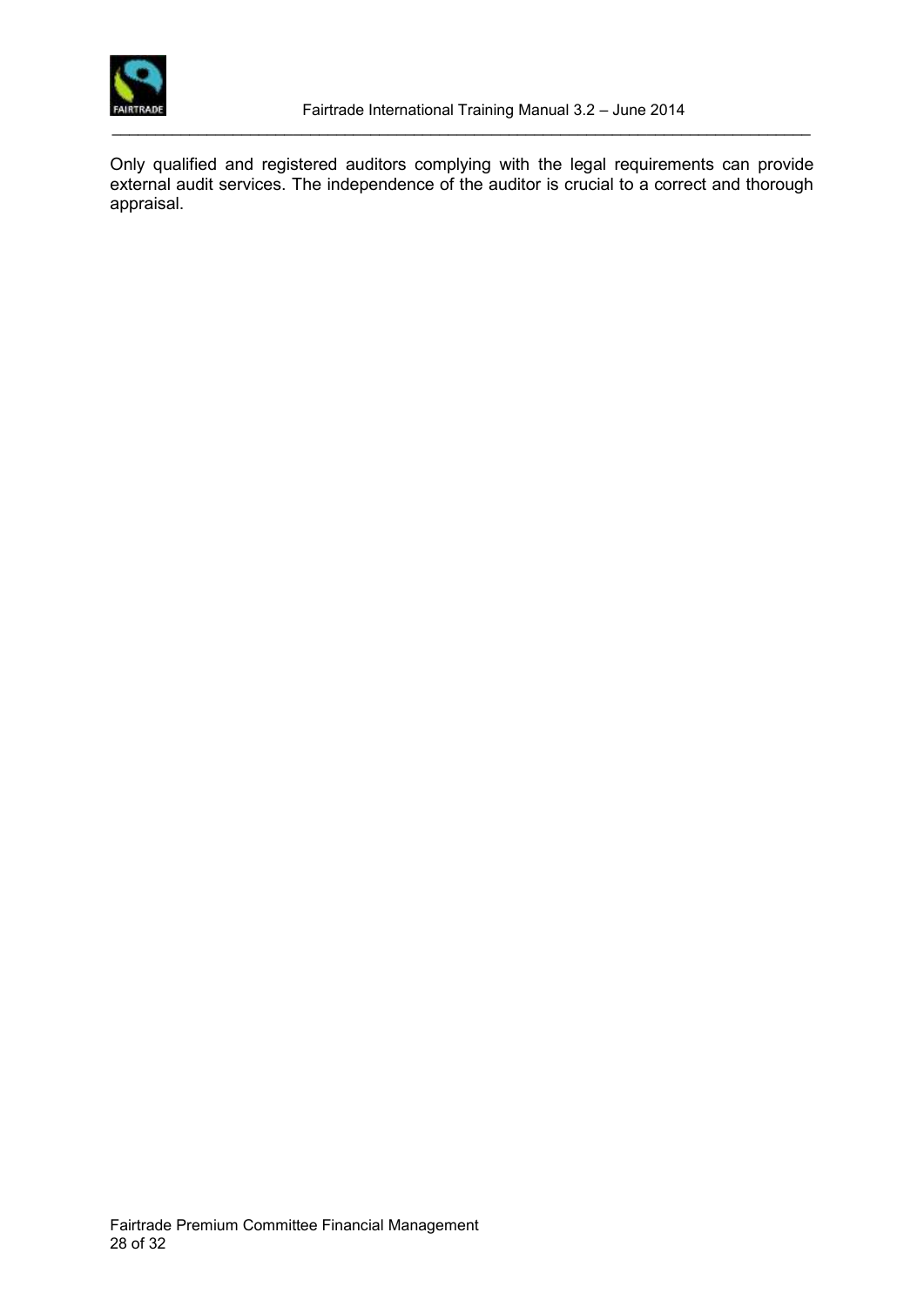

Only qualified and registered auditors complying with the legal requirements can provide external audit services. The independence of the auditor is crucial to a correct and thorough appraisal.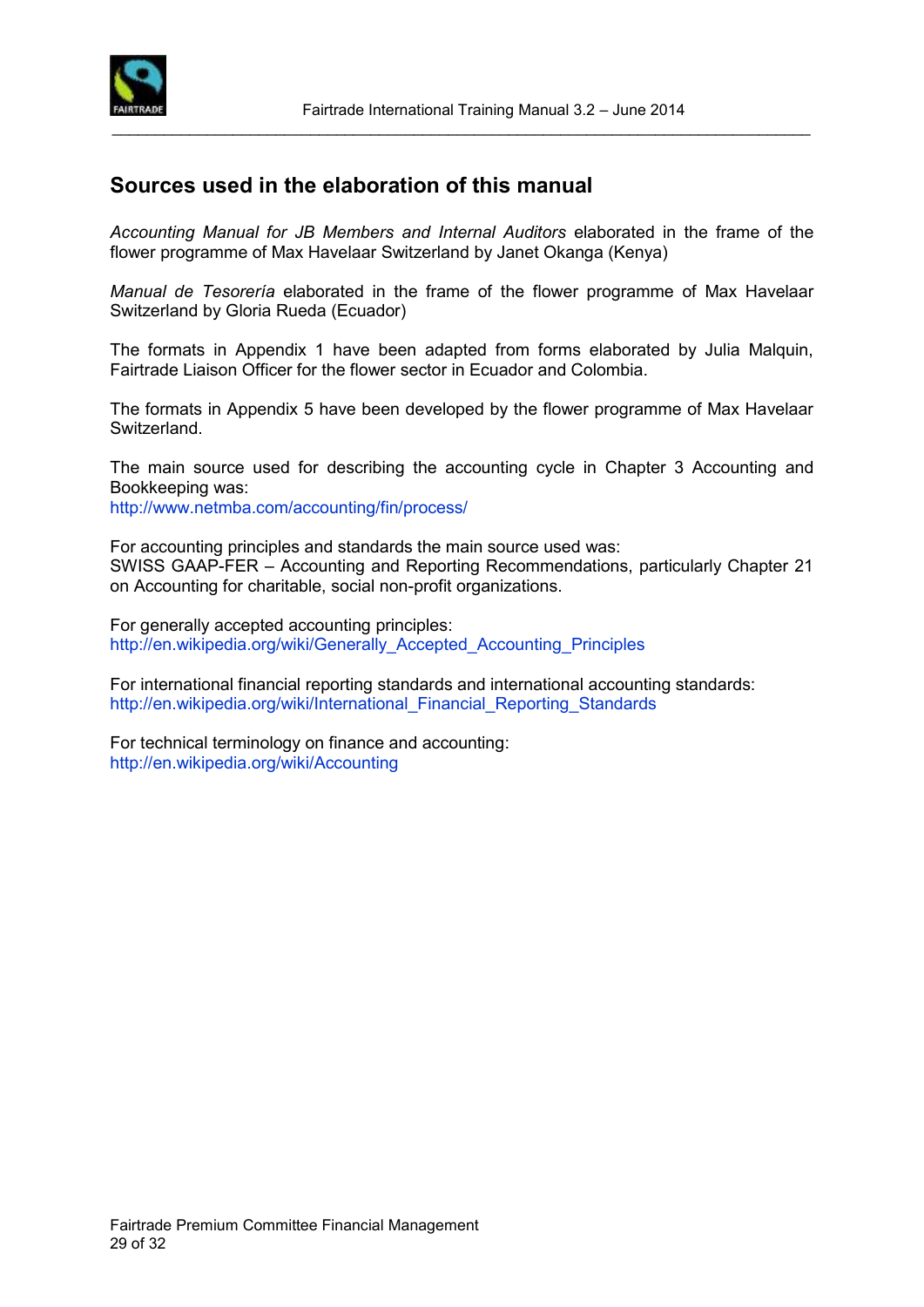

### <span id="page-28-0"></span>**Sources used in the elaboration of this manual**

*Accounting Manual for JB Members and Internal Auditors* elaborated in the frame of the flower programme of Max Havelaar Switzerland by Janet Okanga (Kenya)

\_\_\_\_\_\_\_\_\_\_\_\_\_\_\_\_\_\_\_\_\_\_\_\_\_\_\_\_\_\_\_\_\_\_\_\_\_\_\_\_\_\_\_\_\_\_\_\_\_\_\_\_\_\_\_\_\_\_\_\_\_\_\_\_\_\_\_\_\_\_\_\_\_\_\_\_\_\_\_\_\_

*Manual de Tesorería* elaborated in the frame of the flower programme of Max Havelaar Switzerland by Gloria Rueda (Ecuador)

The formats in Appendix 1 have been adapted from forms elaborated by Julia Malquin, Fairtrade Liaison Officer for the flower sector in Ecuador and Colombia.

The formats in Appendix 5 have been developed by the flower programme of Max Havelaar Switzerland.

The main source used for describing the accounting cycle in Chapter 3 Accounting and Bookkeeping was:

<http://www.netmba.com/accounting/fin/process/>

For accounting principles and standards the main source used was: SWISS GAAP-FER – Accounting and Reporting Recommendations, particularly Chapter 21 on Accounting for charitable, social non-profit organizations.

For generally accepted accounting principles: [http://en.wikipedia.org/wiki/Generally\\_Accepted\\_Accounting\\_Principles](http://en.wikipedia.org/wiki/Generally_Accepted_Accounting_Principles)

For international financial reporting standards and international accounting standards: [http://en.wikipedia.org/wiki/International\\_Financial\\_Reporting\\_Standards](http://en.wikipedia.org/wiki/International_Financial_Reporting_Standards)

For technical terminology on finance and accounting: <http://en.wikipedia.org/wiki/Accounting>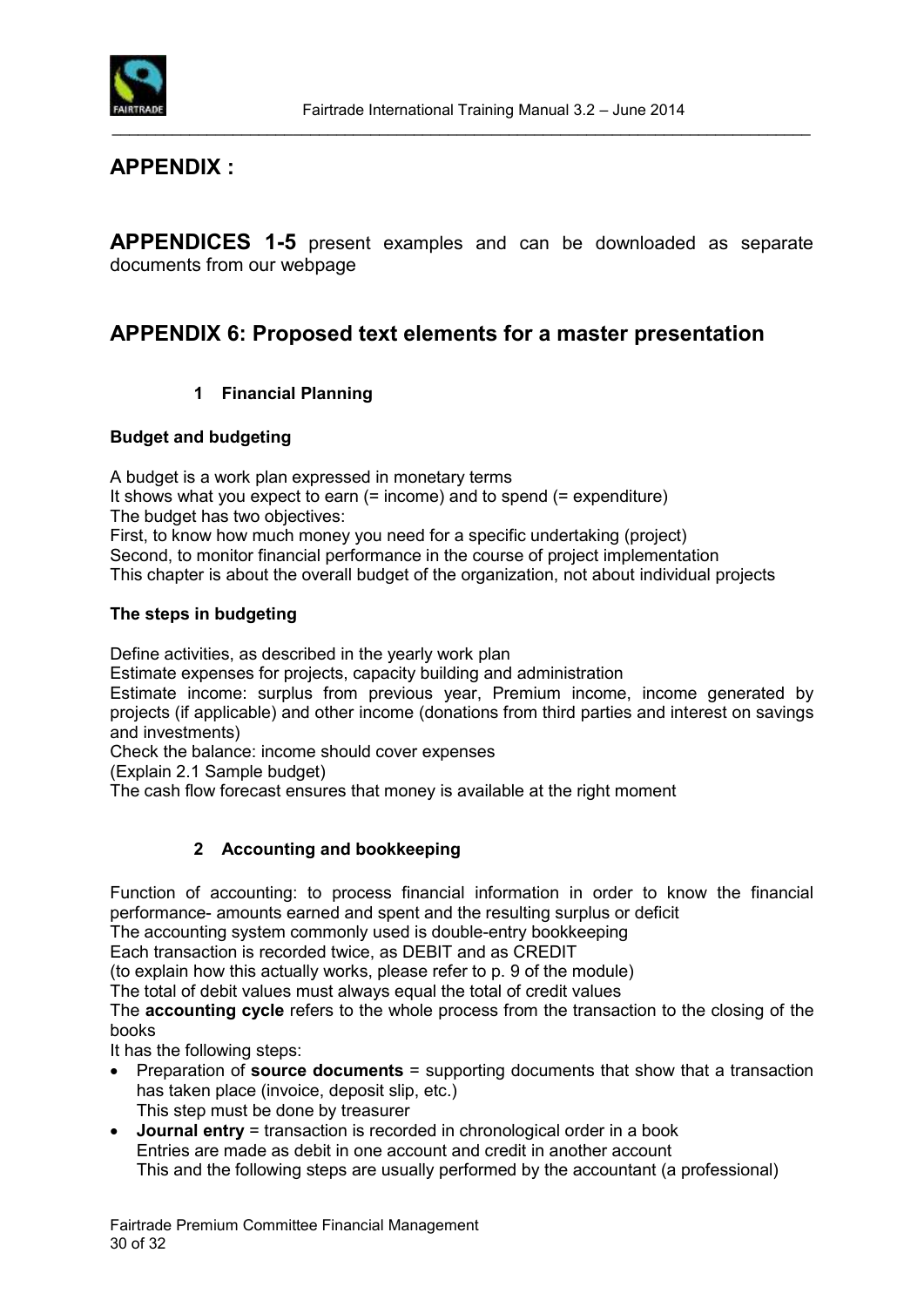

### **APPENDIX :**

**APPENDICES 1-5** present examples and can be downloaded as separate documents from our webpage

### **APPENDIX 6: Proposed text elements for a master presentation**

#### **1 Financial Planning**

#### **Budget and budgeting**

A budget is a work plan expressed in monetary terms

It shows what you expect to earn (= income) and to spend (= expenditure) The budget has two objectives:

First, to know how much money you need for a specific undertaking (project) Second, to monitor financial performance in the course of project implementation This chapter is about the overall budget of the organization, not about individual projects

#### **The steps in budgeting**

Define activities, as described in the yearly work plan

Estimate expenses for projects, capacity building and administration

Estimate income: surplus from previous year, Premium income, income generated by projects (if applicable) and other income (donations from third parties and interest on savings and investments)

Check the balance: income should cover expenses

(Explain 2.1 Sample budget)

The cash flow forecast ensures that money is available at the right moment

#### **2 Accounting and bookkeeping**

Function of accounting: to process financial information in order to know the financial performance- amounts earned and spent and the resulting surplus or deficit

The accounting system commonly used is double-entry bookkeeping

Each transaction is recorded twice, as DEBIT and as CREDIT

(to explain how this actually works, please refer to p. 9 of the module)

The total of debit values must always equal the total of credit values

The **accounting cycle** refers to the whole process from the transaction to the closing of the books

It has the following steps:

- Preparation of **source documents** = supporting documents that show that a transaction has taken place (invoice, deposit slip, etc.) This step must be done by treasurer
- **Journal entry** = transaction is recorded in chronological order in a book Entries are made as debit in one account and credit in another account This and the following steps are usually performed by the accountant (a professional)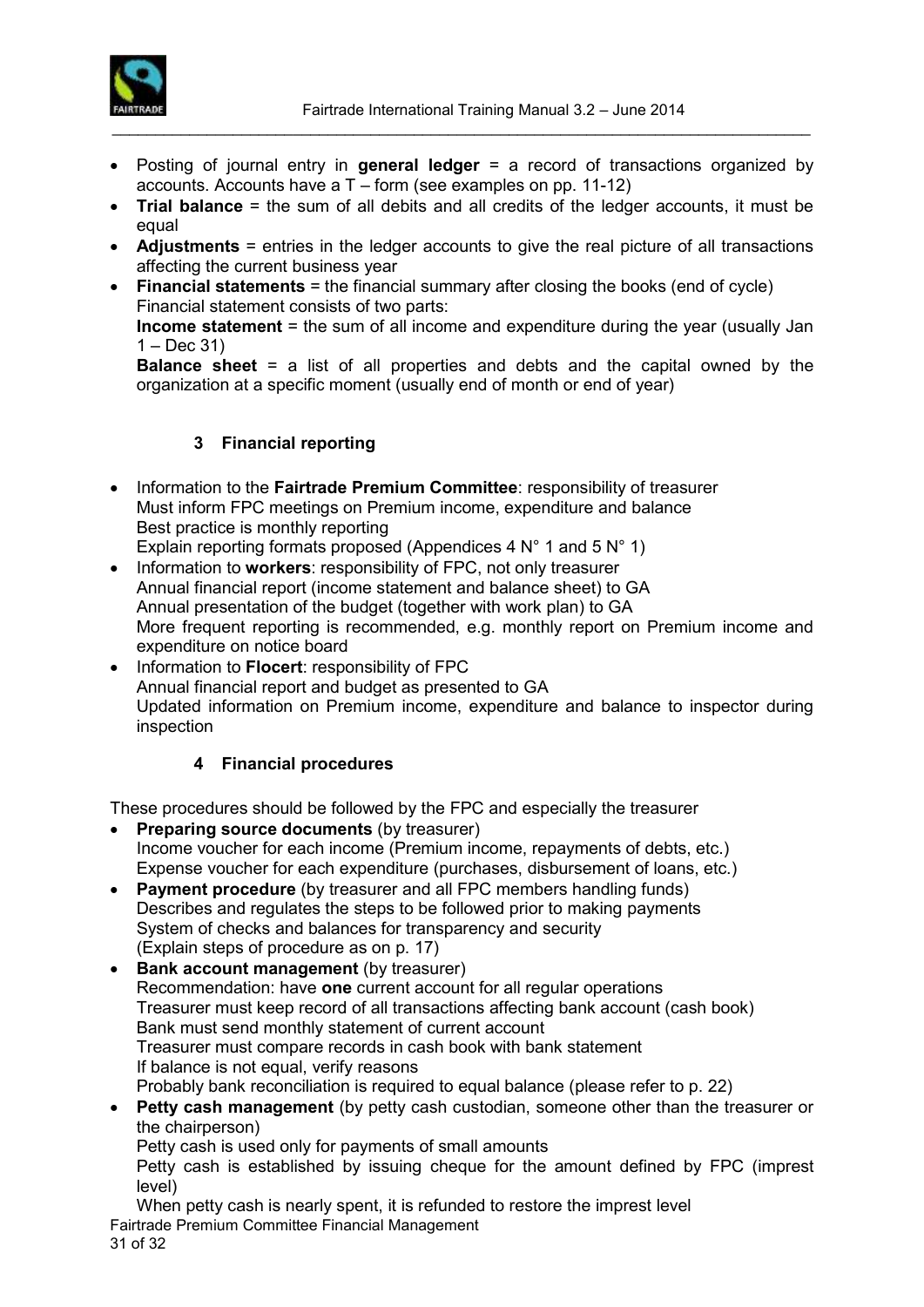

- Posting of journal entry in **general ledger** = a record of transactions organized by accounts. Accounts have a T – form (see examples on pp. 11-12)
- **Trial balance** = the sum of all debits and all credits of the ledger accounts, it must be equal
- **Adjustments** = entries in the ledger accounts to give the real picture of all transactions affecting the current business year
- **Financial statements** = the financial summary after closing the books (end of cycle) Financial statement consists of two parts: **Income statement** = the sum of all income and expenditure during the year (usually Jan  $1 - Dec 31$

**Balance sheet** = a list of all properties and debts and the capital owned by the organization at a specific moment (usually end of month or end of year)

### **3 Financial reporting**

- Information to the **Fairtrade Premium Committee**: responsibility of treasurer Must inform FPC meetings on Premium income, expenditure and balance Best practice is monthly reporting Explain reporting formats proposed (Appendices 4 N° 1 and 5 N° 1)
- Information to workers: responsibility of FPC, not only treasurer Annual financial report (income statement and balance sheet) to GA Annual presentation of the budget (together with work plan) to GA More frequent reporting is recommended, e.g. monthly report on Premium income and expenditure on notice board
- Information to **Flocert**: responsibility of FPC Annual financial report and budget as presented to GA Updated information on Premium income, expenditure and balance to inspector during inspection

#### **4 Financial procedures**

These procedures should be followed by the FPC and especially the treasurer

- **Preparing source documents** (by treasurer) Income voucher for each income (Premium income, repayments of debts, etc.) Expense voucher for each expenditure (purchases, disbursement of loans, etc.)
- **Payment procedure** (by treasurer and all FPC members handling funds) Describes and regulates the steps to be followed prior to making payments System of checks and balances for transparency and security (Explain steps of procedure as on p. 17)
- **Bank account management** (by treasurer) Recommendation: have **one** current account for all regular operations Treasurer must keep record of all transactions affecting bank account (cash book) Bank must send monthly statement of current account Treasurer must compare records in cash book with bank statement If balance is not equal, verify reasons Probably bank reconciliation is required to equal balance (please refer to p. 22)
- **Petty cash management** (by petty cash custodian, someone other than the treasurer or the chairperson) Petty cash is used only for payments of small amounts

Petty cash is established by issuing cheque for the amount defined by FPC (imprest level)

Fairtrade Premium Committee Financial Management 31 of 32 When petty cash is nearly spent, it is refunded to restore the imprest level